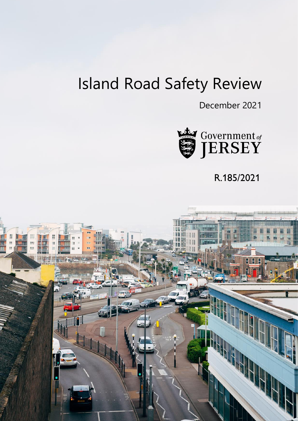# Island Road Safety Review

December 2021



R.185/2021

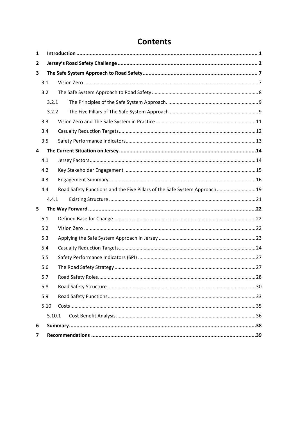# **Contents**

| 1            |        |                                                                           |  |  |  |  |
|--------------|--------|---------------------------------------------------------------------------|--|--|--|--|
| $\mathbf{2}$ |        |                                                                           |  |  |  |  |
| 3            |        |                                                                           |  |  |  |  |
|              | 3.1    |                                                                           |  |  |  |  |
|              | 3.2    |                                                                           |  |  |  |  |
|              | 3.2.1  |                                                                           |  |  |  |  |
|              | 3.2.2  |                                                                           |  |  |  |  |
|              | 3.3    |                                                                           |  |  |  |  |
|              | 3.4    |                                                                           |  |  |  |  |
|              | 3.5    |                                                                           |  |  |  |  |
| 4            |        |                                                                           |  |  |  |  |
|              | 4.1    |                                                                           |  |  |  |  |
|              | 4.2    |                                                                           |  |  |  |  |
|              | 4.3    |                                                                           |  |  |  |  |
|              | 4.4    | Road Safety Functions and the Five Pillars of the Safe System Approach 19 |  |  |  |  |
|              | 4.4.1  |                                                                           |  |  |  |  |
| 5            |        |                                                                           |  |  |  |  |
|              | 5.1    |                                                                           |  |  |  |  |
|              | 5.2    |                                                                           |  |  |  |  |
|              | 5.3    |                                                                           |  |  |  |  |
|              | 5.4    |                                                                           |  |  |  |  |
|              | 5.5    |                                                                           |  |  |  |  |
|              | 5.6    |                                                                           |  |  |  |  |
|              | 5.7    |                                                                           |  |  |  |  |
|              | 5.8    |                                                                           |  |  |  |  |
|              | 5.9    |                                                                           |  |  |  |  |
|              | 5.10   |                                                                           |  |  |  |  |
|              | 5.10.1 |                                                                           |  |  |  |  |
| 6            |        |                                                                           |  |  |  |  |
| 7            |        |                                                                           |  |  |  |  |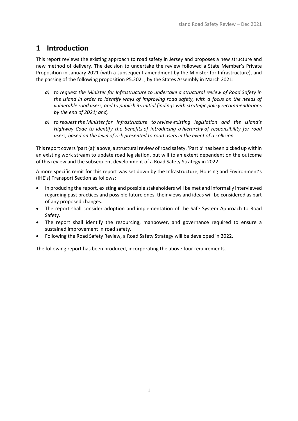### <span id="page-2-0"></span>**1 Introduction**

This report reviews the existing approach to road safety in Jersey and proposes a new structure and new method of delivery. The decision to undertake the review followed a State Member's Private Proposition in January 2021 (with a subsequent amendment by the Minister for Infrastructure), and the passing of the following proposition P5.2021, by the States Assembly in March 2021:

- *a) to request the Minister for Infrastructure to undertake a structural review of Road Safety in the Island in order to identify ways of improving road safety, with a focus on the needs of vulnerable road users, and to publish its initial findings with strategic policy recommendations by the end of 2021; and,*
- *b) to request the Minister for Infrastructure to review existing legislation and the Island's Highway Code to identify the benefits of introducing a hierarchy of responsibility for road users, based on the level of risk presented to road users in the event of a collision.*

This report covers 'part (a)' above, a structural review of road safety. 'Part b' has been picked up within an existing work stream to update road legislation, but will to an extent dependent on the outcome of this review and the subsequent development of a Road Safety Strategy in 2022.

A more specific remit for this report was set down by the Infrastructure, Housing and Environment's (IHE's) Transport Section as follows:

- In producing the report, existing and possible stakeholders will be met and informally interviewed regarding past practices and possible future ones, their views and ideas will be considered as part of any proposed changes.
- The report shall consider adoption and implementation of the Safe System Approach to Road Safety.
- The report shall identify the resourcing, manpower, and governance required to ensure a sustained improvement in road safety.
- Following the Road Safety Review, a Road Safety Strategy will be developed in 2022.

The following report has been produced, incorporating the above four requirements.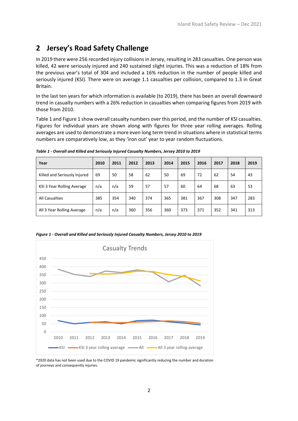# <span id="page-3-0"></span>**2 Jersey's Road Safety Challenge**

In 2019 there were 256 recorded injury collisions in Jersey, resulting in 283 casualties. One person was killed, 42 were seriously injured and 240 sustained slight injuries. This was a reduction of 18% from the previous year's total of 304 and included a 16% reduction in the number of people killed and seriously injured (KSI). There were on average 1.1 casualties per collision, compared to 1.3 in Great Britain.

In the last ten years for which information is available (to 2019), there has been an overall downward trend in casualty numbers with a 26% reduction in casualties when comparing figures from 2019 with those from 2010.

[Table 1](#page-3-1) an[d Figure 1](#page-3-2) show overall casualty numbers over this period, and the number of KSI casualties. Figures for individual years are shown along with figures for three year rolling averages. Rolling averages are used to demonstrate a more even long term trend in situations where in statistical terms numbers are comparatively low, as they 'iron out' year to year random fluctuations.

| Year                         | 2010 | 2011 | 2012 | 2013 | 2014 | 2015 | 2016 | 2017 | 2018 | 2019 |
|------------------------------|------|------|------|------|------|------|------|------|------|------|
| Killed and Seriously Injured | 69   | 50   | 58   | 62   | 50   | 69   | 72   | 62   | 54   | 43   |
| KSI 3 Year Rolling Average   | n/a  | n/a  | 59   | 57   | 57   | 60   | 64   | 68   | 63   | 53   |
| <b>All Casualties</b>        | 385  | 354  | 340  | 374  | 365  | 381  | 367  | 308  | 347  | 283  |
| All 3 Year Rolling Average   | n/a  | n/a  | 360  | 356  | 360  | 373  | 371  | 352  | 341  | 313  |

<span id="page-3-1"></span>*Table 1 - Overall and Killed and Seriously Injured Casualty Numbers, Jersey 2010 to 2019*

<span id="page-3-2"></span>*Figure 1 - Overall and Killed and Seriously Injured Casualty Numbers, Jersey 2010 to 2019*



\*2020 data has not been used due to the COVID 19 pandemic significantly reducing the number and duration of journeys and consequently injuries.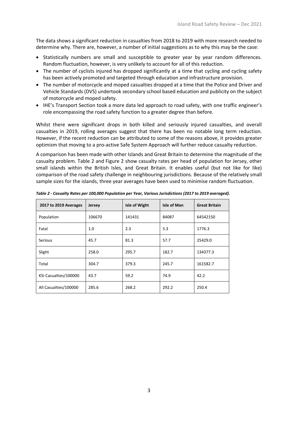The data shows a significant reduction in casualties from 2018 to 2019 with more research needed to determine why. There are, however, a number of initial suggestions as to why this may be the case:

- Statistically numbers are small and susceptible to greater year by year random differences. Random fluctuation, however, is very unlikely to account for all of this reduction.
- The number of cyclists injured has dropped significantly at a time that cycling and cycling safety has been actively promoted and targeted through education and infrastructure provision.
- The number of motorcycle and moped casualties dropped at a time that the Police and Driver and Vehicle Standards (DVS) undertook secondary school based education and publicity on the subject of motorcycle and moped safety.
- IHE's Transport Section took a more data led approach to road safety, with one traffic engineer's role encompassing the road safety function to a greater degree than before.

Whilst there were significant drops in both killed and seriously injured casualties, and overall casualties in 2019, rolling averages suggest that there has been no notable long term reduction. However, if the recent reduction can be attributed to some of the reasons above, it provides greater optimism that moving to a pro-active Safe System Approach will further reduce casualty reduction.

A comparison has been made with other Islands and Great Britain to determine the magnitude of the casualty problem. [Table](#page-4-0) 2 and [Figure 2](#page-5-0) show casualty rates per head of population for Jersey, other small islands within the British Isles, and Great Britain. It enables useful (but not like for like) comparison of the road safety challenge in neighbouring jurisdictions. Because of the relatively small sample sizes for the islands, three year averages have been used to minimise random fluctuation.

| 2017 to 2019 Averages | <b>Jersey</b> | <b>Isle of Wight</b> | Isle of Man | <b>Great Britain</b> |
|-----------------------|---------------|----------------------|-------------|----------------------|
| Population            | 106670        | 141431               | 84087       | 64542150             |
| Fatal                 | 1.0           | 2.3                  | 5.3         | 1776.3               |
| <b>Serious</b>        | 45.7          | 81.3                 | 57.7        | 25429.0              |
| Slight                | 258.0         | 295.7                | 182.7       | 134377.3             |
| Total                 | 304.7         | 379.3                | 245.7       | 161582.7             |
| KSI Casualties/100000 | 43.7          | 59.2                 | 74.9        | 42.2                 |
| All Casualties/100000 | 285.6         | 268.2                | 292.2       | 250.4                |

<span id="page-4-0"></span>*Table 2 - Casualty Rates per 100,000 Population per Year, Various Jurisdictions (2017 to 2019 averaged).*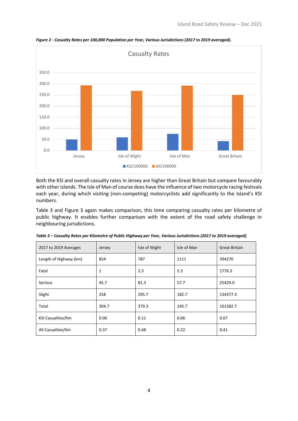

<span id="page-5-0"></span>*Figure 2 - Casualty Rates per 100,000 Population per Year, Various Jurisdictions (2017 to 2019 averaged).*

Both the KSI and overall casualty rates in Jersey are higher than Great Britain but compare favourably with other islands. The Isle of Man of course does have the influence of two motorcycle racing festivals each year, during which visiting (non-competing) motorcyclists add significantly to the Island's KSI numbers.

[Table 3](#page-5-1) and [Figure 3](#page-6-0) again makes comparison, this time comparing casualty rates per kilometre of public highway. It enables further comparison with the extent of the road safety challenge in neighbouring jurisdictions.

| 2017 to 2019 Averages    | Jersey | Isle of Wight | Isle of Man | <b>Great Britain</b> |
|--------------------------|--------|---------------|-------------|----------------------|
| Length of Highway (km)   | 824    | 787           | 1111        | 394270               |
| Fatal                    | 1      | 2.3           | 5.3         | 1776.3               |
| <b>Serious</b>           | 45.7   | 81.3          | 57.7        | 25429.0              |
| Slight                   | 258    | 295.7         | 182.7       | 134377.3             |
| Total                    | 304.7  | 379.3         | 245.7       | 161582.7             |
| <b>KSI Casualties/Km</b> | 0.06   | 0.11          | 0.06        | 0.07                 |
| All Casualties/Km        | 0.37   | 0.48          | 0.22        | 0.41                 |

<span id="page-5-1"></span>*Table 3 – Casualty Rates per Kilometre of Public Highway per Year, Various Jurisdictions (2017 to 2019 averaged).*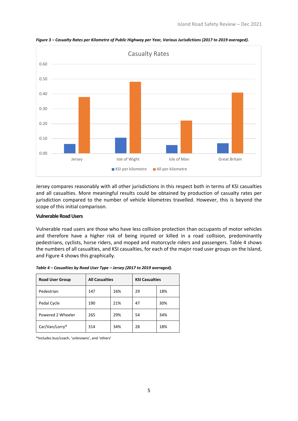

<span id="page-6-0"></span>*Figure 3 – Casualty Rates per Kilometre of Public Highway per Year, Various Jurisdictions (2017 to 2019 averaged).*

Jersey compares reasonably with all other jurisdictions in this respect both in terms of KSI casualties and all casualties. More meaningful results could be obtained by production of casualty rates per jurisdiction compared to the number of vehicle kilometres travelled. However, this is beyond the scope of this initial comparison.

#### **Vulnerable Road Users**

Vulnerable road users are those who have less collision protection than occupants of motor vehicles and therefore have a higher risk of being injured or killed in a road collision, predominantly pedestrians, cyclists, horse riders, and moped and motorcycle riders and passengers. [Table 4](#page-6-1) shows the numbers of all casualties, and KSI casualties, for each of the major road user groups on the Island, and [Figure 4](#page-7-0) shows this graphically.

| <b>Road User Group</b> | <b>All Casualties</b> |     | <b>KSI Casualties</b> |     |
|------------------------|-----------------------|-----|-----------------------|-----|
| Pedestrian             | 147                   | 16% | 29                    | 18% |
| Pedal Cycle            | 190                   | 21% | 47                    | 30% |
| Powered 2 Wheeler      | 265                   | 29% | 54                    | 34% |
| Car/Van/Lorry*         | 314                   | 34% | 28                    | 18% |

<span id="page-6-1"></span>*Table 4 – Casualties by Road User Type – Jersey (2017 to 2019 averaged).*

\*Includes bus/coach, 'unknowns', and 'others'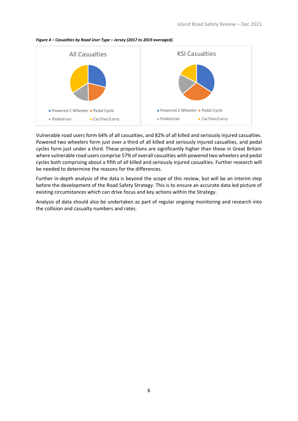<span id="page-7-0"></span>



Vulnerable road users form 64% of all casualties, and 82% of all killed and seriously injured casualties. Powered two wheelers form just over a third of all killed and seriously injured casualties, and pedal cycles form just under a third. These proportions are significantly higher than those in Great Britain where vulnerable road users comprise 57% of overall casualties with powered two wheelers and pedal cycles both comprising about a fifth of all killed and seriously injured casualties. Further research will be needed to determine the reasons for the differences.

Further in-depth analysis of the data is beyond the scope of this review, but will be an interim step before the development of the Road Safety Strategy. This is to ensure an accurate data led picture of existing circumstances which can drive focus and key actions within the Strategy.

Analysis of data should also be undertaken as part of regular ongoing monitoring and research into the collision and casualty numbers and rates.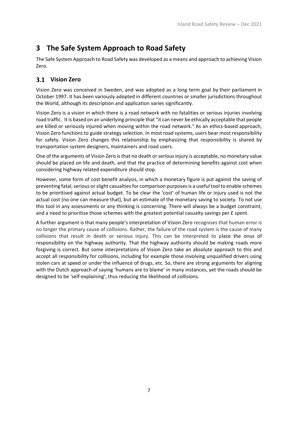## <span id="page-8-0"></span>**3 The Safe System Approach to Road Safety**

The Safe System Approach to Road Safety was developed as a means and approach to achieving Vision Zero.

### <span id="page-8-1"></span>**Vision Zero**

Vision Zero was conceived in Sweden, and [was adopted as a long](https://en.wikipedia.org/wiki/Vision_Zero#cite_note-3) term goal by their parliament in [October 1997. I](https://en.wikipedia.org/wiki/Vision_Zero#cite_note-3)t has been variously adopted in different countries or smaller jurisdictions throughout the World, although its description and application varies significantly.

Vision Zero is a vision in which there is a road network with no fatalities or serious injuries involving road traffic. It is based on an underlying principle that "it can never be ethically acceptable that people are killed or seriously injured when moving within the road network." As an ethics-based approach, Vision Zero functions to guide strategy selection. In most road systems, users bear most responsibility for safety. Vision Zero changes this relationship by emphasizing that responsibility is shared by transportation system designers, maintainers and road users.

One of the arguments of Vision Zero is that no death or serious injury is acceptable, no monetary value should be placed on life and death, and that the practice of determining benefits against cost when considering highway related expenditure should stop.

However, some form of cost benefit analysis, in which a monetary figure is put against the saving of preventing fatal, serious orslight casualties for comparison purposesis a useful tool to enable schemes to be prioritised against actual budget. To be clear the 'cost' of human life or injury used is not the actual cost (no one can measure that), but an estimate of the monetary saving to society. To not use this tool in any assessments or any thinking is concerning. There will always be a budget constraint, and a need to prioritise those schemes with the greatest potential casualty savings per £ spent.

A further argument is that many people's interpretation of Vision Zero recognises that human error is no longer the primary cause of collisions. Rather, the failure of the road system is the cause of many collisions that result in death or serious injury. This can be interpreted to place the onus of responsibility on the highway authority. That the highway authority should be making roads more forgiving is correct. But some interpretations of Vision Zero take an absolute approach to this and accept all responsibility for collisions, including for example those involving unqualified drivers using stolen cars at speed or under the influence of drugs, etc. So, there are strong arguments for aligning with the Dutch approach of saying 'humans are to blame' in many instances, yet the roads should be designed to be 'self-explaining', thus reducing the likelihood of collisions.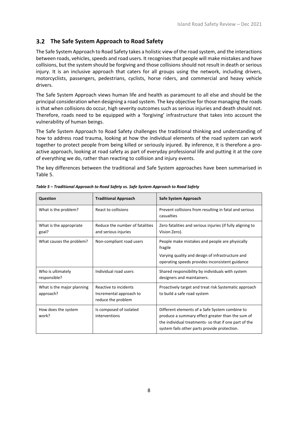#### <span id="page-9-0"></span>**The Safe System Approach to Road Safety**

The Safe System Approach to Road Safety takes a holistic view of the road system, and the interactions between roads, vehicles, speeds and road users. It recognises that people will make mistakes and have collisions, but the system should be forgiving and those collisions should not result in death or serious injury. It is an inclusive approach that caters for all groups using the network, including drivers, motorcyclists, passengers, pedestrians, cyclists, horse riders, and commercial and heavy vehicle drivers.

The Safe System Approach views human life and health as paramount to all else and should be the principal consideration when designing a road system. The key objective for those managing the roads is that when collisions do occur, high severity outcomes such as serious injuries and death should not. Therefore, roads need to be equipped with a 'forgiving' infrastructure that takes into account the vulnerability of human beings.

The Safe System Approach to Road Safety challenges the traditional thinking and understanding of how to address road trauma, looking at how the individual elements of the road system can work together to protect people from being killed or seriously injured. By inference, it is therefore a proactive approach, looking at road safety as part of everyday professional life and putting it at the core of everything we do, rather than reacting to collision and injury events.

The key differences between the traditional and Safe System approaches have been summarised in [Table 5.](#page-9-1)

| Question                                | <b>Traditional Approach</b>                                            | Safe System Approach                                                                                                                                                                                       |
|-----------------------------------------|------------------------------------------------------------------------|------------------------------------------------------------------------------------------------------------------------------------------------------------------------------------------------------------|
| What is the problem?                    | React to collisions                                                    | Prevent collisions from resulting in fatal and serious<br>casualties                                                                                                                                       |
| What is the appropriate<br>goal?        | Reduce the number of fatalities<br>and serious injuries                | Zero fatalities and serious injuries (if fully aligning to<br>Vision Zero).                                                                                                                                |
| What causes the problem?                | Non-compliant road users                                               | People make mistakes and people are physically<br>fragile<br>Varying quality and design of infrastructure and<br>operating speeds provides inconsistent guidance                                           |
| Who is ultimately<br>responsible?       | Individual road users                                                  | Shared responsibility by individuals with system<br>designers and maintainers.                                                                                                                             |
| What is the major planning<br>approach? | Reactive to incidents<br>Incremental approach to<br>reduce the problem | Proactively target and treat risk Systematic approach<br>to build a safe road system                                                                                                                       |
| How does the system<br>work?            | Is composed of isolated<br>interventions                               | Different elements of a Safe System combine to<br>produce a summary effect greater than the sum of<br>the individual treatments-so that if one part of the<br>system fails other parts provide protection. |

<span id="page-9-1"></span>*Table 5 – Traditional Approach to Road Safety vs. Safe System Approach to Road Safety*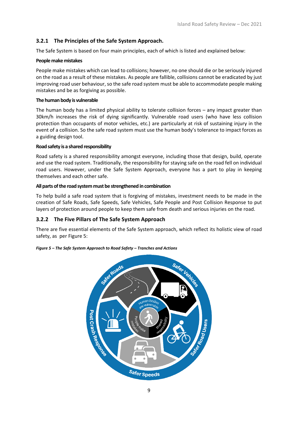#### <span id="page-10-0"></span>**3.2.1 The Principles of the Safe System Approach.**

The Safe System is based on four main principles, each of which is listed and explained below:

#### **People make mistakes**

People make mistakes which can lead to collisions; however, no one should die or be seriously injured on the road as a result of these mistakes. As people are fallible, collisions cannot be eradicated by just improving road user behaviour, so the safe road system must be able to accommodate people making mistakes and be as forgiving as possible.

#### **The human body is vulnerable**

The human body has a limited physical ability to tolerate collision forces – any impact greater than 30km/h increases the risk of dying significantly. Vulnerable road users (who have less collision protection than occupants of motor vehicles, etc.) are particularly at risk of sustaining injury in the event of a collision. So the safe road system must use the human body's tolerance to impact forces as a guiding design tool.

#### **Road safety is a shared responsibility**

Road safety is a shared responsibility amongst everyone, including those that design, build, operate and use the road system. Traditionally, the responsibility for staying safe on the road fell on individual road users. However, under the Safe System Approach, everyone has a part to play in keeping themselves and each other safe.

#### **All parts of the road system must be strengthened in combination**

To help build a safe road system that is forgiving of mistakes, investment needs to be made in the creation of Safe Roads, Safe Speeds, Safe Vehicles, Safe People and Post Collision Response to put layers of protection around people to keep them safe from death and serious injuries on the road.

#### <span id="page-10-1"></span>**3.2.2 The Five Pillars of The Safe System Approach**

There are five essential elements of the Safe System approach, which reflect its holistic view of road safety, as per [Figure 5:](#page-10-2)

#### <span id="page-10-2"></span>*Figure 5 – The Safe System Approach to Road Safety – Tranches and Actions*

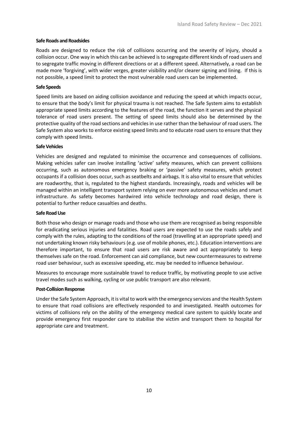#### **Safe Roads and Roadsides**

Roads are designed to reduce the risk of collisions occurring and the severity of injury, should a collision occur. One way in which this can be achieved is to segregate different kinds of road users and to segregate traffic moving in different directions or at a different speed. Alternatively, a road can be made more 'forgiving', with wider verges, greater visibility and/or clearer signing and lining. If this is not possible, a speed limit to protect the most vulnerable road users can be implemented.

#### **Safe Speeds**

Speed limits are based on aiding collision avoidance and reducing the speed at which impacts occur, to ensure that the body's limit for physical trauma is not reached. The Safe System aims to establish appropriate speed limits according to the features of the road, the function it serves and the physical tolerance of road users present. The setting of speed limits should also be determined by the protective quality of the road sections and vehicles in use rather than the behaviour of road users. The Safe System also works to enforce existing speed limits and to educate road users to ensure that they comply with speed limits.

#### **Safe Vehicles**

Vehicles are designed and regulated to minimise the occurrence and consequences of collisions. Making vehicles safer can involve installing 'active' safety measures, which can prevent collisions occurring, such as autonomous emergency braking or 'passive' safety measures, which protect occupants if a collision does occur, such as seatbelts and airbags. It is also vital to ensure that vehicles are roadworthy, that is, regulated to the highest standards. Increasingly, roads and vehicles will be managed within an intelligent transport system relying on ever more autonomous vehicles and smart infrastructure. As safety becomes hardwired into vehicle technology and road design, there is potential to further reduce casualties and deaths.

#### **Safe RoadUse**

Both those who design or manage roads and those who use them are recognised as being responsible for eradicating serious injuries and fatalities. Road users are expected to use the roads safely and comply with the rules, adapting to the conditions of the road (travelling at an appropriate speed) and not undertaking known risky behaviours (e.g. use of mobile phones, etc.). Education interventions are therefore important, to ensure that road users are risk aware and act appropriately to keep themselves safe on the road. Enforcement can aid compliance, but new countermeasures to extreme road user behaviour, such as excessive speeding, etc. may be needed to influence behaviour.

Measures to encourage more sustainable travel to reduce traffic, by motivating people to use active travel modes such as walking, cycling or use public transport are also relevant.

#### **Post-Collision Response**

Under the Safe System Approach, it is vital to work with the emergency services and the Health System to ensure that road collisions are effectively responded to and investigated. Health outcomes for victims of collisions rely on the ability of the emergency medical care system to quickly locate and provide emergency first responder care to stabilise the victim and transport them to hospital for appropriate care and treatment.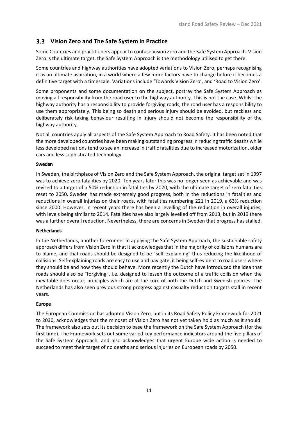### <span id="page-12-0"></span>**Vision Zero and The Safe System in Practice**

Some Countries and practitioners appear to confuse Vision Zero and the Safe System Approach. Vision Zero is the ultimate target, the Safe System Approach is the methodology utilised to get there.

Some countries and highway authorities have adopted variations to Vision Zero, perhaps recognising it as an ultimate aspiration, in a world where a few more factors have to change before it becomes a definitive target with a timescale. Variations include 'Towards Vision Zero', and 'Road to Vision Zero'.

Some proponents and some documentation on the subject, portray the Safe System Approach as moving all responsibility from the road user to the highway authority. This is not the case. Whilst the highway authority has a responsibility to provide forgiving roads, the road user has a responsibility to use them appropriately. This being so death and serious injury should be avoided, but reckless and deliberately risk taking behaviour resulting in injury should not become the responsibility of the highway authority.

Not all countries apply all aspects of the Safe System Approach to Road Safety. It has been noted that the more developed countries have been making outstanding progress in reducing traffic deaths while less developed nations tend to see an increase in traffic fatalities due to increased motorization, older cars and less sophisticated technology.

#### **Sweden**

In Sweden, the birthplace of Vision Zero and the Safe System Approach, the original target set in 1997 was to achieve zero fatalities by 2020. Ten years later this was no longer seen as achievable and was revised to a target of a 50% reduction in fatalities by 2020, with the ultimate target of zero fatalities reset to 2050. Sweden has made extremely good progress, both in the reductions in fatalities and reductions in overall injuries on their roads, with fatalities numbering 221 in 2019, a 63% reduction since 2000. However, in recent years there has been a levelling of the reduction in overall injuries, with levels being similar to 2014. Fatalities have also largely levelled off from 2013, but in 2019 there was a further overall reduction. Nevertheless, there are concerns in Sweden that progress has stalled.

#### **Netherlands**

In the Netherlands, another forerunner in applying the Safe System Approach, the sustainable safety approach differs from Vision Zero in that it acknowledges that in the majority of collisions humans are to blame, and that roads should be designed to be "self-explaining" thus reducing the likelihood of collisions. Self-explaining roads are easy to use and navigate, it being self-evident to road users where they should be and how they should behave. More recently the Dutch have introduced the idea that roads should also be "forgiving", i.e. designed to lessen the outcome of a traffic collision when the inevitable does occur, principles which are at the core of both the Dutch and Swedish policies. The Netherlands has also seen previous strong progress against casualty reduction targets stall in recent years.

#### **Europe**

The European Commission has adopted Vision Zero, but in its Road Safety Policy Framework for 2021 to 2030, acknowledges that the mindset of Vision Zero has not yet taken hold as much as it should. The framework also sets out its decision to base the framework on the Safe System Approach (for the first time). The Framework sets out some varied key performance indicators around the five pillars of the Safe System Approach, and also acknowledges that urgent Europe wide action is needed to succeed to meet their target of no deaths and serious injuries on European roads by 2050.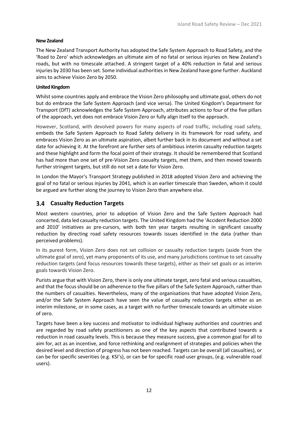#### **New Zealand**

The New Zealand Transport Authority has adopted the Safe System Approach to Road Safety, and the 'Road to Zero' which acknowledges an ultimate aim of no fatal or serious injuries on New Zealand's roads, but with no timescale attached. A stringent target of a 40% reduction in fatal and serious injuries by 2030 has been set. Some individual authorities in New Zealand have gone further. Auckland aims to achieve Vision Zero by 2050.

#### **United Kingdom**

Whilst some countries apply and embrace the Vision Zero philosophy and ultimate goal, others do not but do embrace the Safe System Approach (and vice versa). The United Kingdom's Department for Transport (DfT) acknowledges the Safe System Approach, attributes actions to four of the five pillars of the approach, yet does not embrace Vision Zero or fully align itself to the approach.

However, Scotland, with devolved powers for many aspects of road traffic, including road safety, embeds the Safe System Approach to Road Safety delivery in its framework for road safety, and embraces Vision Zero as an ultimate aspiration, albeit further back in its document and without a set date for achieving it. At the forefront are further sets of ambitious interim casualty reduction targets and these highlight and form the focal point of their strategy. It should be remembered that Scotland has had more than one set of pre-Vision Zero casualty targets, met them, and then moved towards further stringent targets, but still do not set a date for Vision Zero.

In London the Mayor's Transport Strategy published in 2018 adopted Vision Zero and achieving the goal of no fatal or serious injuries by 2041, which is an earlier timescale than Sweden, whom it could be argued are further along the journey to Vision Zero than anywhere else.

#### <span id="page-13-0"></span>**Casualty Reduction Targets**

Most western countries, prior to adoption of Vision Zero and the Safe System Approach had concerted, data led casualty reduction targets. The United Kingdom had the 'Accident Reduction 2000 and 2010' initiatives as pre-cursors, with both ten year targets resulting in significant casualty reduction by directing road safety resources towards issues identified in the data (rather than perceived problems).

In its purest form, Vision Zero does not set collision or casualty reduction targets (aside from the ultimate goal of zero), yet many proponents of its use, and many jurisdictions continue to set casualty reduction targets (and focus resources towards these targets), either as their set goals or as interim goals towards Vision Zero.

Purists argue that with Vision Zero, there is only one ultimate target, zero fatal and serious casualties, and that the focus should be on adherence to the five pillars of the Safe System Approach, rather than the numbers of casualties. Nevertheless, many of the organisations that have adopted Vision Zero, and/or the Safe System Approach have seen the value of casualty reduction targets either as an interim milestone, or in some cases, as a target with no further timescale towards an ultimate vision of zero.

Targets have been a key success and motivator to individual highway authorities and countries and are regarded by road safety practitioners as one of the key aspects that contributed towards a reduction in road casualty levels. This is because they measure success, give a common goal for all to aim for, act as an incentive, and force rethinking and realignment of strategies and policies when the desired level and direction of progress has not been reached. Targets can be overall (all casualties), or can be for specific severities (e.g. KSI's), or can be for specific road user groups, (e.g. vulnerable road users).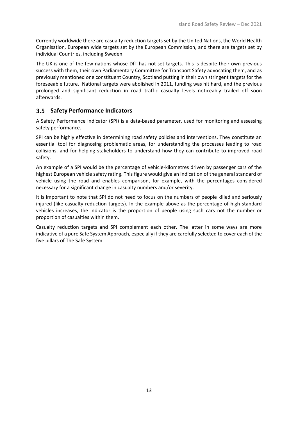Currently worldwide there are casualty reduction targets set by the United Nations, the World Health Organisation, European wide targets set by the European Commission, and there are targets set by individual Countries, including Sweden.

The UK is one of the few nations whose DfT has not set targets. This is despite their own previous success with them, their own Parliamentary Committee for Transport Safety advocating them, and as previously mentioned one constituent Country, Scotland putting in their own stringent targets for the foreseeable future. National targets were abolished in 2011, funding was hit hard, and the previous prolonged and significant reduction in road traffic casualty levels noticeably trailed off soon afterwards.

#### <span id="page-14-0"></span>**Safety Performance Indicators**

A Safety Performance Indicator (SPI) is a data-based parameter, used for monitoring and assessing safety performance.

SPI can be highly effective in determining road safety policies and interventions. They constitute an essential tool for diagnosing problematic areas, for understanding the processes leading to road collisions, and for helping stakeholders to understand how they can contribute to improved road safety.

An example of a SPI would be the percentage of vehicle-kilometres driven by passenger cars of the highest European vehicle safety rating. This figure would give an indication of the general standard of vehicle using the road and enables comparison, for example, with the percentages considered necessary for a significant change in casualty numbers and/or severity.

It is important to note that SPI do not need to focus on the numbers of people killed and seriously injured (like casualty reduction targets). In the example above as the percentage of high standard vehicles increases, the indicator is the proportion of people using such cars not the number or proportion of casualties within them.

Casualty reduction targets and SPI complement each other. The latter in some ways are more indicative of a pure Safe System Approach, especially if they are carefully selected to cover each of the five pillars of The Safe System.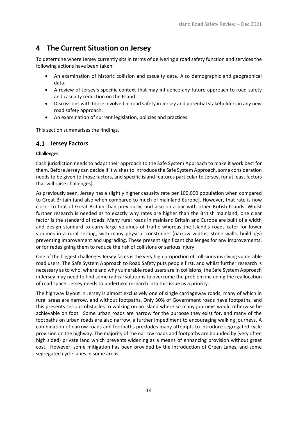## <span id="page-15-0"></span>**4 The Current Situation on Jersey**

To determine where Jersey currently sits in terms of delivering a road safety function and services the following actions have been taken:

- An examination of historic collision and casualty data. Also demographic and geographical data.
- A review of Jersey's specific context that may influence any future approach to road safety and casualty reduction on the Island.
- Discussions with those involved in road safety in Jersey and potential stakeholders in any new road safety approach.
- An examination of current legislation, policies and practices.

This section summarises the findings.

#### <span id="page-15-1"></span>**4.1 Jersey Factors**

#### **Challenges**

Each jurisdiction needs to adapt their approach to the Safe System Approach to make it work best for them. Before Jersey can decide if it wishes to introduce the Safe System Approach, some consideration needs to be given to those factors, and specific island features particular to Jersey, (or at least factors that will raise challenges).

As previously seen, Jersey has a slightly higher casualty rate per 100,000 population when compared to Great Britain (and also when compared to much of mainland Europe). However, that rate is now closer to that of Great Britain than previously, and also on a par with other British Islands. Whilst further research is needed as to exactly why rates are higher than the British mainland, one clear factor is the standard of roads. Many rural roads in mainland Britain and Europe are built of a width and design standard to carry large volumes of traffic whereas the Island's roads cater for lower volumes in a rural setting, with many physical constraints (narrow widths, stone walls, buildings) preventing improvement and upgrading. These present significant challenges for any improvements, or for redesigning them to reduce the risk of collisions or serious injury.

One of the biggest challenges Jersey faces is the very high proportion of collisions involving vulnerable road users. The Safe System Approach to Road Safety puts people first, and whilst further research is necessary as to who, where and why vulnerable road users are in collisions, the Safe System Approach in Jersey may need to find some radical solutions to overcome the problem including the reallocation of road space. Jersey needs to undertake research into this issue as a priority.

The highway layout in Jersey is almost exclusively one of single carriageway roads, many of which in rural areas are narrow, and without footpaths. Only 30% of Government roads have footpaths, and this presents serious obstacles to walking on an island where so many journeys would otherwise be achievable on foot. Some urban roads are narrow for the purpose they exist for, and many of the footpaths on urban roads are also narrow, a further impediment to encouraging walking journeys. A combination of narrow roads and footpaths precludes many attempts to introduce segregated cycle provision on the highway. The majority of the narrow roads and footpaths are bounded by (very often high sided) private land which prevents widening as a means of enhancing provision without great cost. However, some mitigation has been provided by the introduction of Green Lanes, and some segregated cycle lanes in some areas.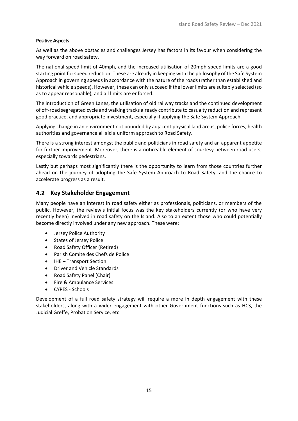#### **Positive Aspects**

As well as the above obstacles and challenges Jersey has factors in its favour when considering the way forward on road safety.

The national speed limit of 40mph, and the increased utilisation of 20mph speed limits are a good starting point for speed reduction. These are already in keeping with the philosophy of the Safe System Approach in governing speeds in accordance with the nature of the roads (rather than established and historical vehicle speeds). However, these can only succeed if the lower limits are suitably selected (so as to appear reasonable), and all limits are enforced.

The introduction of Green Lanes, the utilisation of old railway tracks and the continued development of off-road segregated cycle and walking tracks already contribute to casualty reduction and represent good practice, and appropriate investment, especially if applying the Safe System Approach.

Applying change in an environment not bounded by adjacent physical land areas, police forces, health authorities and governance all aid a uniform approach to Road Safety.

There is a strong interest amongst the public and politicians in road safety and an apparent appetite for further improvement. Moreover, there is a noticeable element of courtesy between road users, especially towards pedestrians.

Lastly but perhaps most significantly there is the opportunity to learn from those countries further ahead on the journey of adopting the Safe System Approach to Road Safety, and the chance to accelerate progress as a result.

#### <span id="page-16-0"></span>**Key Stakeholder Engagement**

Many people have an interest in road safety either as professionals, politicians, or members of the public. However, the review's initial focus was the key stakeholders currently (or who have very recently been) involved in road safety on the Island. Also to an extent those who could potentially become directly involved under any new approach. These were:

- Jersey Police Authority
- States of Jersey Police
- Road Safety Officer (Retired)
- Parish Comité des Chefs de Police
- IHE Transport Section
- Driver and Vehicle Standards
- Road Safety Panel (Chair)
- Fire & Ambulance Services
- CYPES Schools

Development of a full road safety strategy will require a more in depth engagement with these stakeholders, along with a wider engagement with other Government functions such as HCS, the Judicial Greffe, Probation Service, etc.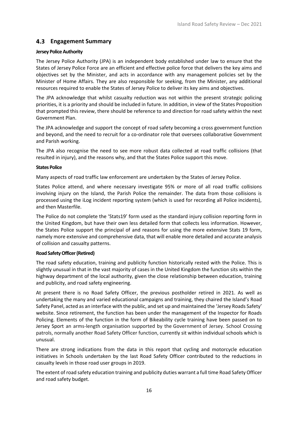#### <span id="page-17-0"></span>**Engagement Summary**

#### **Jersey Police Authority**

The Jersey Police Authority (JPA) is an independent body established under law to ensure that the States of Jersey Police Force are an efficient and effective police force that delivers the key aims and objectives set by the Minister, and acts in accordance with any management policies set by the Minister of Home Affairs. They are also responsible for seeking, from the Minister, any additional resources required to enable the States of Jersey Police to deliver its key aims and objectives.

The JPA acknowledge that whilst casualty reduction was not within the present strategic policing priorities, it is a priority and should be included in future. In addition, in view of the States Proposition that prompted this review, there should be reference to and direction for road safety within the next Government Plan.

The JPA acknowledge and support the concept of road safety becoming a cross government function and beyond, and the need to recruit for a co-ordinator role that oversees collaborative Government and Parish working.

The JPA also recognise the need to see more robust data collected at road traffic collisions (that resulted in injury), and the reasons why, and that the States Police support this move.

#### **States Police**

Many aspects of road traffic law enforcement are undertaken by the States of Jersey Police.

States Police attend, and where necessary investigate 95% or more of all road traffic collisions involving injury on the Island, the Parish Police the remainder. The data from those collisions is processed using the iLog incident reporting system (which is used for recording all Police incidents), and then Masterfile.

The Police do not complete the 'Stats19' form used as the standard injury collision reporting form in the United Kingdom, but have their own less detailed form that collects less information. However, the States Police support the principal of and reasons for using the more extensive Stats 19 form, namely more extensive and comprehensive data, that will enable more detailed and accurate analysis of collision and casualty patterns.

#### **Road Safety Officer (Retired)**

The road safety education, training and publicity function historically rested with the Police. This is slightly unusual in that in the vast majority of cases in the United Kingdom the function sits within the highway department of the local authority, given the close relationship between education, training and publicity, and road safety engineering.

At present there is no Road Safety Officer, the previous postholder retired in 2021. As well as undertaking the many and varied educational campaigns and training, they chaired the Island's Road Safety Panel, acted as an interface with the public, and set up and maintained the 'Jersey Roads Safety' website. Since retirement, the function has been under the management of the Inspector for Roads Policing. Elements of the function in the form of Bikeability cycle training have been passed on to Jersey Sport an arms-length organisation supported by the Government of Jersey. School Crossing patrols, normally another Road Safety Officer function, currently sit within individual schools which is unusual.

There are strong indications from the data in this report that cycling and motorcycle education initiatives in Schools undertaken by the last Road Safety Officer contributed to the reductions in casualty levels in those road user groups in 2019.

The extent of road safety education training and publicity duties warrant a full time Road Safety Officer and road safety budget.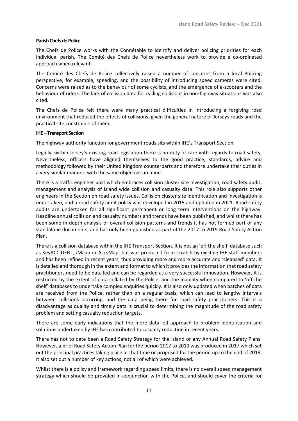#### **Parish Chefs de Police**

The Chefs de Police works with the Connétable to identify and deliver policing priorities for each individual parish. The Comité des Chefs de Police nevertheless work to provide a co-ordinated approach when relevant.

The Comité des Chefs de Police collectively raised a number of concerns from a local Policing perspective, for example, speeding, and the possibility of introducing speed cameras were cited. Concerns were raised as to the behaviour of some cyclists, and the emergence of e-scooters and the behaviour of riders. The lack of collision data for cycling collisions in non-highway situations was also cited.

The Chefs de Police felt there were many practical difficulties in introducing a forgiving road environment that reduced the effects of collisions, given the general nature of Jerseys roads and the practical site constraints of them.

#### **IHE – Transport Section**

The highway authority function for government roads sits within IHE's Transport Section.

Legally, within Jersey's existing road legislation there is no duty of care with regards to road safety. Nevertheless, officers have aligned themselves to the good practice, standards, advice and methodology followed by their United Kingdom counterparts and therefore undertake their duties in a very similar manner, with the same objectives in mind.

There is a traffic engineer post which embraces collision cluster site investigation, road safety audit, management and analysis of Island wide collision and casualty data. This role also supports other engineers in the Section on road safety issues. Collision cluster site identification and investigation is undertaken, and a road safety audit policy was developed in 2015 and updated in 2021. Road safety audits are undertaken for all significant permanent or long term interventions on the highway. Headline annual collision and casualty numbers and trends have been published, and whilst there has been some in depth analysis of overall collision patterns and trends it has not formed part of any standalone documents, and has only been published as part of the 2017 to 2019 Road Safety Action Plan.

There is a collision database within the IHE Transport Section. It is not an 'off the shelf' database such as KeyACCIDENT, iMaap or AccsMap, but was produced from scratch by existing IHE staff members and has been refined in recent years, thus providing more and more accurate and 'cleansed' data. It is detailed and thorough in the extent and format to which it provides the information that road safety practitioners need to be data led and can be regarded as a very successful innovation. However, it is restricted by the extent of data collated by the Police, and the inability when compared to 'off the shelf' databases to undertake complex enquiries quickly. It is also only updated when batches of data are received from the Police, rather than on a regular basis, which can lead to lengthy intervals between collisions occurring, and the data being there for road safety practitioners. This is a disadvantage as quality and timely data is crucial to determining the magnitude of the road safety problem and setting casualty reduction targets.

There are some early indications that the more data led approach to problem identification and solutions undertaken by IHE has contributed to casualty reduction in recent years.

There has not to date been a Road Safety Strategy for the Island or any Annual Road Safety Plans. However, a brief Road Safety Action Plan for the period 2017 to 2019 was produced in 2017 which set out the principal practices taking place at that time or proposed for the period up to the end of 2019. It also set out a number of key actions, not all of which were achieved.

Whilst there is a policy and framework regarding speed limits, there is no overall speed management strategy which should be provided in conjunction with the Police, and should cover the criteria for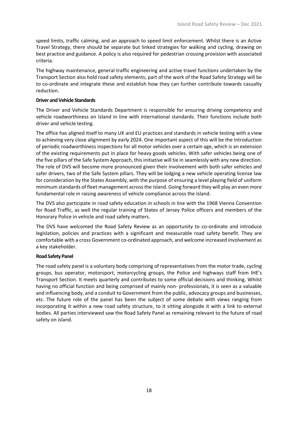speed limits, traffic calming, and an approach to speed limit enforcement. Whilst there is an Active Travel Strategy, there should be separate but linked strategies for walking and cycling, drawing on best practice and guidance. A policy is also required for pedestrian crossing provision with associated criteria.

The highway maintenance, general traffic engineering and active travel functions undertaken by the Transport Section also hold road safety elements; part of the work of the Road Safety Strategy will be to co-ordinate and integrate these and establish how they can further contribute towards casualty reduction.

#### **Driver and Vehicle Standards**

The Driver and Vehicle Standards Department is responsible for ensuring driving competency and vehicle roadworthiness on Island in line with international standards. Their functions include both driver and vehicle testing.

The office has aligned itself to many UK and EU practices and standards in vehicle testing with a view to achieving very close alignment by early 2024. One important aspect of this will be the introduction of periodic roadworthiness inspections for all motor vehicles over a certain age, which is an extension of the existing requirements put in place for heavy goods vehicles. With safer vehicles being one of the five pillars of the Safe System Approach, this initiative will tie in seamlessly with any new direction. The role of DVS will become more pronounced given their involvement with both safer vehicles and safer drivers, two of the Safe System pillars. They will be lodging a new vehicle operating license law for consideration by the States Assembly, with the purpose of ensuring a level playing field of uniform minimum standards of fleet management across the Island. Going forward they will play an even more fundamental role in raising awareness of vehicle compliance across the Island.

The DVS also participate in road safety education in schools in line with the 1968 Vienna Convention for Road Traffic, as well the regular training of States of Jersey Police officers and members of the Honorary Police in vehicle and road safety matters.

The DVS have welcomed the Road Safety Review as an opportunity to co-ordinate and introduce legislation, policies and practices with a significant and measurable road safety benefit. They are comfortable with a cross Government co-ordinated approach, and welcome increased involvement as a key stakeholder.

#### **Road Safety Panel**

The road safety panel is a voluntary body comprising of representatives from the motor trade, cycling groups, bus operator, motorsport, motorcycling groups, the Police and highways staff from IHE's Transport Section. It meets quarterly and contributes to some official decisions and thinking. Whilst having no official function and being comprised of mainly non- professionals, it is seen as a valuable and influencing body, and a conduit to Government from the public, advocacy groups and businesses, etc. The future role of the panel has been the subject of some debate with views ranging from incorporating it within a new road safety structure, to it sitting alongside it with a link to external bodies. All parties interviewed saw the Road Safety Panel as remaining relevant to the future of road safety on island.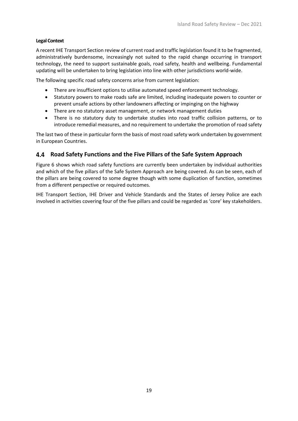#### **Legal Context**

A recent IHE Transport Section review of current road and traffic legislation found it to be fragmented, administratively burdensome, increasingly not suited to the rapid change occurring in transport technology, the need to support sustainable goals, road safety, health and wellbeing. Fundamental updating will be undertaken to bring legislation into line with other jurisdictions world-wide.

The following specific road safety concerns arise from current legislation:

- There are insufficient options to utilise automated speed enforcement technology.
- Statutory powers to make roads safe are limited, including inadequate powers to counter or prevent unsafe actions by other landowners affecting or impinging on the highway
- There are no statutory asset management, or network management duties
- There is no statutory duty to undertake studies into road traffic collision patterns, or to introduce remedial measures, and no requirement to undertake the promotion of road safety

The last two of these in particular form the basis of most road safety work undertaken by government in European Countries.

#### <span id="page-20-0"></span>**Road Safety Functions and the Five Pillars of the Safe System Approach**

[Figure 6](#page-22-1) shows which road safety functions are currently been undertaken by individual authorities and which of the five pillars of the Safe System Approach are being covered. As can be seen, each of the pillars are being covered to some degree though with some duplication of function, sometimes from a different perspective or required outcomes.

<span id="page-20-1"></span>IHE Transport Section, IHE Driver and Vehicle Standards and the States of Jersey Police are each involved in activities covering four of the five pillars and could be regarded as 'core' key stakeholders.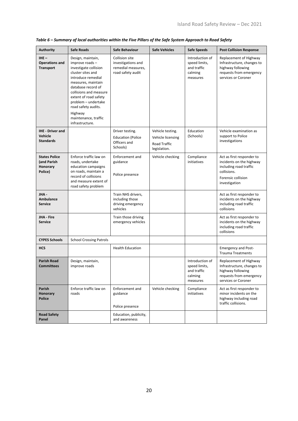| <b>Authority</b>                                           | <b>Safe Roads</b>                                                                                                                                                                                                                                                                                          | Safe Behaviour                                                                  | <b>Safe Vehicles</b>                                                  | <b>Safe Speeds</b>                                                     | <b>Post Collision Response</b>                                                                                                        |
|------------------------------------------------------------|------------------------------------------------------------------------------------------------------------------------------------------------------------------------------------------------------------------------------------------------------------------------------------------------------------|---------------------------------------------------------------------------------|-----------------------------------------------------------------------|------------------------------------------------------------------------|---------------------------------------------------------------------------------------------------------------------------------------|
| $IHE -$<br><b>Operations and</b><br><b>Transport</b>       | Design, maintain,<br>improve roads-<br>investigate collision<br>cluster sites and<br>introduce remedial<br>measures, maintain<br>database record of<br>collisions and measure<br>extent of road safety<br>problem - undertake<br>road safety audits.<br>Highway<br>maintenance, traffic<br>infrastructure. | Collision site<br>investigations and<br>remedial measures,<br>road safety audit |                                                                       | Introduction of<br>speed limits,<br>and traffic<br>calming<br>measures | Replacement of Highway<br>Infrastructure, changes to<br>highway following<br>requests from emergency<br>services or Coroner           |
| <b>IHE</b> - Driver and<br>Vehicle<br><b>Standards</b>     |                                                                                                                                                                                                                                                                                                            | Driver testing.<br><b>Education (Police</b><br>Officers and<br>Schools)         | Vehicle testing.<br>Vehicle licensing<br>Road Traffic<br>legislation. | Education<br>(Schools)                                                 | Vehicle examination as<br>support to Police<br>investigations                                                                         |
| <b>States Police</b><br>(and Parish<br>Honorary<br>Police) | Enforce traffic law on<br>roads, undertake<br>education campaigns<br>on roads, maintain a<br>record of collisions<br>and measure extent of<br>road safety problem                                                                                                                                          | Enforcement and<br>guidance<br>Police presence                                  | Vehicle checking                                                      | Compliance<br>initiatives                                              | Act as first responder to<br>incidents on the highway<br>including road traffic<br>collisions.<br>Forensic collision<br>investigation |
| JHA -<br>Ambulance<br><b>Service</b>                       |                                                                                                                                                                                                                                                                                                            | Train NHS drivers,<br>including those<br>driving emergency<br>vehicles          |                                                                       |                                                                        | Act as first responder to<br>incidents on the highway<br>including road traffic<br>collisions                                         |
| <b>JHA</b> Fire<br><b>Service</b>                          |                                                                                                                                                                                                                                                                                                            | Train those driving<br>emergency vehicles                                       |                                                                       |                                                                        | Act as first responder to<br>incidents on the highway<br>including road traffic<br>collisions                                         |
| <b>CYPES Schools</b>                                       | <b>School Crossing Patrols</b>                                                                                                                                                                                                                                                                             |                                                                                 |                                                                       |                                                                        |                                                                                                                                       |
| <b>HCS</b>                                                 |                                                                                                                                                                                                                                                                                                            | <b>Health Education</b>                                                         |                                                                       |                                                                        | <b>Emergency and Post-</b><br><b>Trauma Treatments</b>                                                                                |
| <b>Parish Road</b><br><b>Committees</b>                    | Design, maintain,<br>improve roads                                                                                                                                                                                                                                                                         |                                                                                 |                                                                       | Introduction of<br>speed limits,<br>and traffic<br>calming<br>measures | Replacement of Highway<br>Infrastructure, changes to<br>highway following<br>requests from emergency<br>services or Coroner           |
| Parish<br>Honorary<br><b>Police</b>                        | Enforce traffic law on<br>roads                                                                                                                                                                                                                                                                            | Enforcement and<br>guidance<br>Police presence                                  | Vehicle checking                                                      | Compliance<br>initiatives                                              | Act as first responder to<br>minor incidents on the<br>highway including road<br>traffic collisions.                                  |
| <b>Road Safety</b><br>Panel                                |                                                                                                                                                                                                                                                                                                            | Education, publicity,<br>and awareness                                          |                                                                       |                                                                        |                                                                                                                                       |

*Table 6 – Summary of local authorities within the Five Pillars of the Safe System Approach to Road Safety*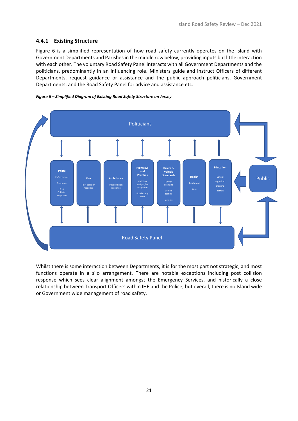#### <span id="page-22-0"></span>**4.4.1 Existing Structure**

[Figure 6](#page-22-1) is a simplified representation of how road safety currently operates on the Island with Government Departments and Parishes in the middle row below, providing inputs but little interaction with each other. The voluntary Road Safety Panel interacts with all Government Departments and the politicians, predominantly in an influencing role. Ministers guide and instruct Officers of different Departments, request guidance or assistance and the public approach politicians, Government Departments, and the Road Safety Panel for advice and assistance etc.

<span id="page-22-1"></span>



Whilst there is some interaction between Departments, it is for the most part not strategic, and most functions operate in a silo arrangement. There are notable exceptions including post collision response which sees clear alignment amongst the Emergency Services, and historically a close relationship between Transport Officers within IHE and the Police, but overall, there is no Island wide or Government wide management of road safety.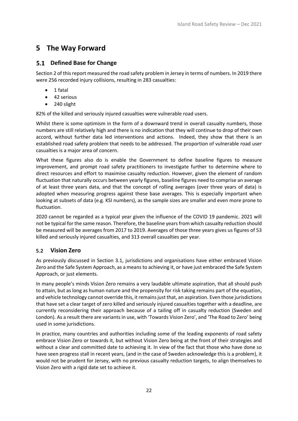### <span id="page-23-0"></span>**5 The Way Forward**

### <span id="page-23-1"></span>**Defined Base for Change**

Section 2 of this report measured the road safety problem in Jersey in terms of numbers. In 2019 there were 256 recorded injury collisions, resulting in 283 casualties:

- 1 fatal
- 42 serious
- 240 slight

82% of the killed and seriously injured casualties were vulnerable road users.

Whilst there is some optimism in the form of a downward trend in overall casualty numbers, those numbers are still relatively high and there is no indication that they will continue to drop of their own accord, without further data led interventions and actions. Indeed, they show that there is an established road safety problem that needs to be addressed. The proportion of vulnerable road user casualties is a major area of concern.

What these figures also do is enable the Government to define baseline figures to measure improvement, and prompt road safety practitioners to investigate further to determine where to direct resources and effort to maximise casualty reduction. However, given the element of random fluctuation that naturally occurs between yearly figures, baseline figures need to comprise an average of at least three years data, and that the concept of rolling averages (over three years of data) is adopted when measuring progress against these base averages. This is especially important when looking at subsets of data (e.g. KSI numbers), as the sample sizes are smaller and even more prone to fluctuation.

2020 cannot be regarded as a typical year given the influence of the COVID 19 pandemic. 2021 will not be typical for the same reason. Therefore, the baseline years from which casualty reduction should be measured will be averages from 2017 to 2019. Averages of those three years gives us figures of 53 killed and seriously injured casualties, and 313 overall casualties per year.

#### <span id="page-23-2"></span> $5.2$ **Vision Zero**

As previously discussed in Section 3.1, jurisdictions and organisations have either embraced Vision Zero and the Safe System Approach, as a means to achieving it, or have just embraced the Safe System Approach, or just elements.

In many people's minds Vision Zero remains a very laudable ultimate aspiration, that all should push to attain, but as long as human nature and the propensity for risk taking remains part of the equation, and vehicle technology cannot override this, it remains just that, an aspiration. Even those jurisdictions that have set a clear target of zero killed and seriously injured casualties together with a deadline, are currently reconsidering their approach because of a tailing off in casualty reduction (Sweden and London). As a result there are variants in use, with 'Towards Vision Zero', and 'The Road to Zero' being used in some jurisdictions.

In practice, many countries and authorities including some of the leading exponents of road safety embrace Vision Zero or towards it, but without Vision Zero being at the front of their strategies and without a clear and committed date to achieving it. In view of the fact that those who have done so have seen progress stall in recent years, (and in the case of Sweden acknowledge this is a problem), it would not be prudent for Jersey, with no previous casualty reduction targets, to align themselves to Vision Zero with a rigid date set to achieve it.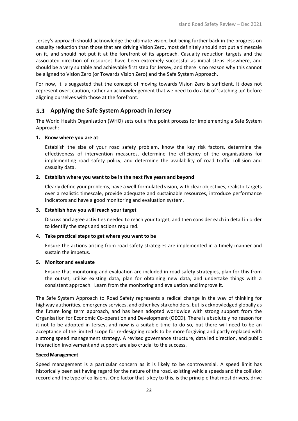Jersey's approach should acknowledge the ultimate vision, but being further back in the progress on casualty reduction than those that are driving Vision Zero, most definitely should not put a timescale on it, and should not put it at the forefront of its approach. Casualty reduction targets and the associated direction of resources have been extremely successful as initial steps elsewhere, and should be a very suitable and achievable first step for Jersey, and there is no reason why this cannot be aligned to Vision Zero (or Towards Vision Zero) and the Safe System Approach.

For now, it is suggested that the concept of moving towards Vision Zero is sufficient. It does not represent overt caution, rather an acknowledgement that we need to do a bit of 'catching up' before aligning ourselves with those at the forefront.

#### <span id="page-24-0"></span>**Applying the Safe System Approach in Jersey**

The World Health Organisation (WHO) sets out a five point process for implementing a Safe System Approach:

#### **1. Know where you are at**:

Establish the size of your road safety problem, know the key risk factors, determine the effectiveness of intervention measures, determine the efficiency of the organisations for implementing road safety policy, and determine the availability of road traffic collision and casualty data.

#### **2. Establish where you want to be in the next five years and beyond**

Clearly define your problems, have a well-formulated vision, with clear objectives, realistic targets over a realistic timescale, provide adequate and sustainable resources, introduce performance indicators and have a good monitoring and evaluation system.

#### **3. Establish how you will reach your target**

Discuss and agree activities needed to reach your target, and then consider each in detail in order to identify the steps and actions required.

#### **4. Take practical steps to get where you want to be**

Ensure the actions arising from road safety strategies are implemented in a timely manner and sustain the impetus.

#### **5. Monitor and evaluate**

Ensure that monitoring and evaluation are included in road safety strategies, plan for this from the outset, utilise existing data, plan for obtaining new data, and undertake things with a consistent approach. Learn from the monitoring and evaluation and improve it.

The Safe System Approach to Road Safety represents a radical change in the way of thinking for highway authorities, emergency services, and other key stakeholders, but is acknowledged globally as the future long term approach, and has been adopted worldwide with strong support from the Organisation for Economic Co-operation and Development (OECD). There is absolutely no reason for it not to be adopted in Jersey, and now is a suitable time to do so, but there will need to be an acceptance of the limited scope for re-designing roads to be more forgiving and partly replaced with a strong speed management strategy. A revised governance structure, data led direction, and public interaction involvement and support are also crucial to the success.

#### **Speed Management**

Speed management is a particular concern as it is likely to be controversial. A speed limit has historically been set having regard for the nature of the road, existing vehicle speeds and the collision record and the type of collisions. One factor that is key to this, is the principle that most drivers, drive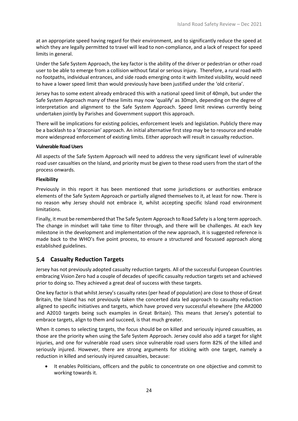at an appropriate speed having regard for their environment, and to significantly reduce the speed at which they are legally permitted to travel will lead to non-compliance, and a lack of respect for speed limits in general.

Under the Safe System Approach, the key factor is the ability of the driver or pedestrian or other road user to be able to emerge from a collision without fatal or serious injury. Therefore, a rural road with no footpaths, individual entrances, and side roads emerging onto it with limited visibility, would need to have a lower speed limit than would previously have been justified under the 'old criteria'.

Jersey has to some extent already embraced this with a national speed limit of 40mph, but under the Safe System Approach many of these limits may now 'qualify' as 30mph, depending on the degree of interpretation and alignment to the Safe System Approach. Speed limit reviews currently being undertaken jointly by Parishes and Government support this approach.

There will be implications for existing policies, enforcement levels and legislation. Publicly there may be a backlash to a 'draconian' approach. An initial alternative first step may be to resource and enable more widespread enforcement of existing limits. Either approach will result in casualty reduction.

#### **Vulnerable Road Users**

All aspects of the Safe System Approach will need to address the very significant level of vulnerable road user casualties on the Island, and priority must be given to these road users from the start of the process onwards.

#### **Flexibility**

Previously in this report it has been mentioned that some jurisdictions or authorities embrace elements of the Safe System Approach or partially aligned themselves to it, at least for now. There is no reason why Jersey should not embrace it, whilst accepting specific Island road environment limitations.

Finally, it must be remembered that The Safe System Approach to Road Safety is a long term approach. The change in mindset will take time to filter through, and there will be challenges. At each key milestone in the development and implementation of the new approach, it is suggested reference is made back to the WHO's five point process, to ensure a structured and focussed approach along established guidelines.

#### <span id="page-25-0"></span>**Casualty Reduction Targets**

Jersey has not previously adopted casualty reduction targets. All of the successful European Countries embracing Vision Zero had a couple of decades of specific casualty reduction targets set and achieved prior to doing so. They achieved a great deal of success with these targets.

One key factor is that whilst Jersey's casualty rates (per head of population) are close to those of Great Britain, the Island has not previously taken the concerted data led approach to casualty reduction aligned to specific initiatives and targets, which have proved very successful elsewhere (the AR2000 and A2010 targets being such examples in Great Britain). This means that Jersey's potential to embrace targets, align to them and succeed, is that much greater.

When it comes to selecting targets, the focus should be on killed and seriously injured casualties, as those are the priority when using the Safe System Approach. Jersey could also add a target for slight injuries, and one for vulnerable road users since vulnerable road users form 82% of the killed and seriously injured. However, there are strong arguments for sticking with one target, namely a reduction in killed and seriously injured casualties, because:

• It enables Politicians, officers and the public to concentrate on one objective and commit to working towards it.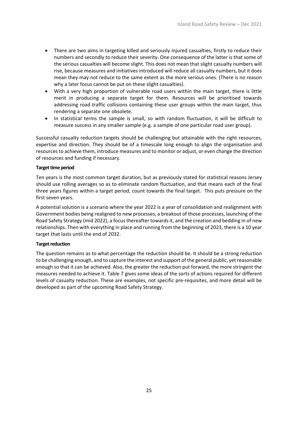- There are two aims in targeting killed and seriously injured casualties, firstly to reduce their numbers and secondly to reduce their severity. One consequence of the latter is that some of the serious casualties will become slight. This does not mean that slight casualty numbers will rise, because measures and initiatives introduced will reduce all casualty numbers, but it does mean they may not reduce to the same extent as the more serious ones. (There is no reason why a later focus cannot be put on these slight casualties).
- With a very high proportion of vulnerable road users within the main target, there is little merit in producing a separate target for them. Resources will be prioritised towards addressing road traffic collisions containing these user groups within the main target, thus rendering a separate one obsolete.
- In statistical terms the sample is small, so with random fluctuation, it will be difficult to measure success in any smaller sample (e.g. a sample of one particular road user group).

Successful casualty reduction targets should be challenging but attainable with the right resources, expertise and direction. They should be of a timescale long enough to align the organisation and resources to achieve them, introduce measures and to monitor or adjust, or even change the direction of resources and funding if necessary.

#### **Target time period**

Ten years is the most common target duration, but as previously stated for statistical reasons Jersey should use rolling averages so as to eliminate random fluctuation, and that means each of the final three years figures within a target period, count towards the final target. This puts pressure on the first seven years.

A potential solution is a scenario where the year 2022 is a year of consolidation and realignment with Government bodies being realigned to new processes, a breakout of those processes, launching of the Road Safety Strategy (mid 2022), a focus thereafter towards it, and the creation and bedding in of new relationships. Then with everything in place and running from the beginning of 2023, there is a 10 year target that lasts until the end of 2032.

#### **Target reduction**

The question remains as to what percentage the reduction should be. It should be a strong reduction to be challenging enough, and to capture the interest and support of the general public, yet reasonable enough so that it can be achieved. Also, the greater the reduction put forward, the more stringent the measures needed to achieve it. [Table 7](#page-27-0) gives some ideas of the sorts of actions required for different levels of casualty reduction. These are examples, not specific pre-requisites, and more detail will be developed as part of the upcoming Road Safety Strategy.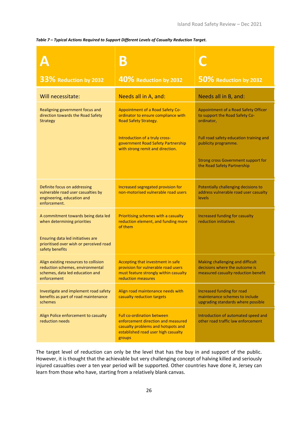#### <span id="page-27-0"></span>*Table 7 – Typical Actions Required to Support Different Levels of Casualty Reduction Target.*

|                                                                                                                             | B                                                                                                                                                              |                                                                                                           |
|-----------------------------------------------------------------------------------------------------------------------------|----------------------------------------------------------------------------------------------------------------------------------------------------------------|-----------------------------------------------------------------------------------------------------------|
| 33% Reduction by 2032                                                                                                       | 40% Reduction by 2032                                                                                                                                          | 50% Reduction by 2032                                                                                     |
| Will necessitate:                                                                                                           | Needs all in A, and:                                                                                                                                           | Needs all in B, and:                                                                                      |
| Realigning government focus and<br>direction towards the Road Safety<br><b>Strategy</b>                                     | Appointment of a Road Safety Co-<br>ordinator to ensure compliance with<br>Road Safety Strategy.                                                               | Appointment of a Road Safety Officer<br>to support the Road Safety Co-<br>ordinator,                      |
|                                                                                                                             | Introduction of a truly cross-<br>government Road Safety Partnership<br>with strong remit and direction.                                                       | Full road safety education training and<br>publicity programme.                                           |
|                                                                                                                             |                                                                                                                                                                | <b>Strong cross Government support for</b><br>the Road Safety Partnership                                 |
| Definite focus on addressing<br>vulnerable road user casualties by<br>engineering, education and<br>enforcement.            | Increased segregated provision for<br>non-motorised vulnerable road users                                                                                      | Potentially challenging decisions to<br>address vulnerable road user casualty<br>levels                   |
| A commitment towards being data led<br>when determining priorities                                                          | Prioritising schemes with a casualty<br>reduction element, and funding more<br>of them                                                                         | Increased funding for casualty<br>reduction initiatives                                                   |
| Ensuring data led initiatives are<br>prioritised over wish or perceived road<br>safety benefits                             |                                                                                                                                                                |                                                                                                           |
| Align existing resources to collision<br>reduction schemes, environmental<br>schemes, data led education and<br>enforcement | Accepting that investment in safe<br>provision for vulnerable road users<br>must feature strongly within casualty<br>reduction measures                        | Making challenging and difficult<br>decisions where the outcome is<br>measured casualty reduction benefit |
| Investigate and implement road safety<br>benefits as part of road maintenance<br>schemes                                    | Align road maintenance needs with<br>casualty reduction targets                                                                                                | Increased funding for road<br>maintenance schemes to include<br>upgrading standards where possible        |
| Align Police enforcement to casualty<br>reduction needs                                                                     | <b>Full co-ordination between</b><br>enforcement direction and measured<br>casualty problems and hotspots and<br>established road user high casualty<br>groups | Introduction of automated speed and<br>other road traffic law enforcement                                 |

The target level of reduction can only be the level that has the buy in and support of the public. However, it is thought that the achievable but very challenging concept of halving killed and seriously injured casualties over a ten year period will be supported. Other countries have done it, Jersey can learn from those who have, starting from a relatively blank canvas.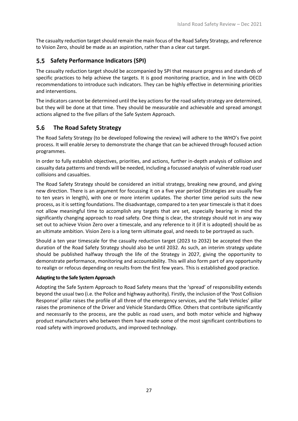The casualty reduction target should remain the main focus of the Road Safety Strategy, and reference to Vision Zero, should be made as an aspiration, rather than a clear cut target.

#### <span id="page-28-0"></span>**Safety Performance Indicators (SPI)**  $5.5<sub>1</sub>$

The casualty reduction target should be accompanied by SPI that measure progress and standards of specific practices to help achieve the targets. It is good monitoring practice, and in line with OECD recommendations to introduce such indicators. They can be highly effective in determining priorities and interventions.

The indicators cannot be determined until the key actions for the road safety strategy are determined, but they will be done at that time. They should be measurable and achievable and spread amongst actions aligned to the five pillars of the Safe System Approach.

#### <span id="page-28-1"></span> $5.6$  **The Road Safety Strategy**

The Road Safety Strategy (to be developed following the review) will adhere to the WHO's five point process. It will enable Jersey to demonstrate the change that can be achieved through focused action programmes.

In order to fully establish objectives, priorities, and actions, further in-depth analysis of collision and casualty data patterns and trends will be needed, including a focussed analysis of vulnerable road user collisions and casualties.

The Road Safety Strategy should be considered an initial strategy, breaking new ground, and giving new direction. There is an argument for focussing it on a five year period (Strategies are usually five to ten years in length), with one or more interim updates. The shorter time period suits the new process, as it is setting foundations. The disadvantage, compared to a ten year timescale is that it does not allow meaningful time to accomplish any targets that are set, especially bearing in mind the significantly changing approach to road safety. One thing is clear, the strategy should not in any way set out to achieve Vision Zero over a timescale, and any reference to it (if it is adopted) should be as an ultimate ambition. Vision Zero is a long term ultimate goal, and needs to be portrayed as such.

Should a ten year timescale for the casualty reduction target (2023 to 2032) be accepted then the duration of the Road Safety Strategy should also be until 2032. As such, an interim strategy update should be published halfway through the life of the Strategy in 2027, giving the opportunity to demonstrate performance, monitoring and accountability. This will also form part of any opportunity to realign or refocus depending on results from the first few years. This is established good practice.

#### **Adapting to the Safe System Approach**

Adopting the Safe System Approach to Road Safety means that the 'spread' of responsibility extends beyond the usual two (i.e. the Police and highway authority). Firstly, the inclusion of the 'Post Collision Response' pillar raises the profile of all three of the emergency services, and the 'Safe Vehicles' pillar raises the prominence of the Driver and Vehicle Standards Office. Others that contribute significantly and necessarily to the process, are the public as road users, and both motor vehicle and highway product manufacturers who between them have made some of the most significant contributions to road safety with improved products, and improved technology.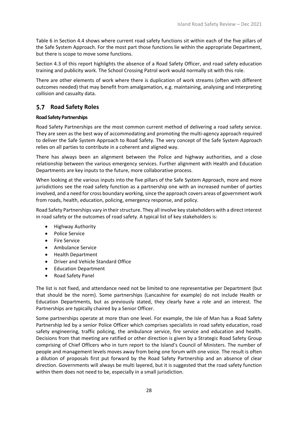[Table 6](#page-20-1) in Section 4.4 shows where current road safety functions sit within each of the five pillars of the Safe System Approach. For the most part those functions lie within the appropriate Department, but there is scope to move some functions.

Section [4.3](#page-17-0) of this report highlights the absence of a Road Safety Officer, and road safety education training and publicity work. The School Crossing Patrol work would normally sit with this role.

There are other elements of work where there is duplication of work streams (often with different outcomes needed) that may benefit from amalgamation, e.g. maintaining, analysing and interpreting collision and casualty data.

#### <span id="page-29-0"></span>**Road Safety Roles**

#### **Road Safety Partnerships**

Road Safety Partnerships are the most common current method of delivering a road safety service. They are seen as the best way of accommodating and promoting the multi-agency approach required to deliver the Safe System Approach to Road Safety. The very concept of the Safe System Approach relies on all parties to contribute in a coherent and aligned way.

There has always been an alignment between the Police and highway authorities, and a close relationship between the various emergency services. Further alignment with Health and Education Departments are key inputs to the future, more collaborative process.

When looking at the various inputs into the five pillars of the Safe System Approach, more and more jurisdictions see the road safety function as a partnership one with an increased number of parties involved, and a need for cross boundary working, since the approach covers areas of government work from roads, health, education, policing, emergency response, and policy.

Road Safety Partnerships vary in their structure. They all involve key stakeholders with a direct interest in road safety or the outcomes of road safety. A typical list of key stakeholders is:

- Highway Authority
- Police Service
- Fire Service
- Ambulance Service
- Health Department
- Driver and Vehicle Standard Office
- Education Department
- Road Safety Panel

The list is not fixed, and attendance need not be limited to one representative per Department (but that should be the norm). Some partnerships (Lancashire for example) do not include Health or Education Departments, but as previously stated, they clearly have a role and an interest. The Partnerships are typically chaired by a Senior Officer.

Some partnerships operate at more than one level. For example, the Isle of Man has a Road Safety Partnership led by a senior Police Officer which comprises specialists in road safety education, road safety engineering, traffic policing, the ambulance service, fire service and education and health. Decisions from that meeting are ratified or other direction is given by a Strategic Road Safety Group comprising of Chief Officers who in turn report to the Island's Council of Ministers. The number of people and management levels moves away from being one forum with one voice. The result is often a dilution of proposals first put forward by the Road Safety Partnership and an absence of clear direction. Governments will always be multi layered, but it is suggested that the road safety function within them does not need to be, especially in a small jurisdiction.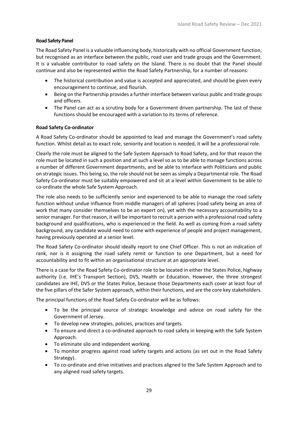#### **Road Safety Panel**

The Road Safety Panel is a valuable influencing body, historically with no official Government function, but recognised as an interface between the public, road user and trade groups and the Government. It is a valuable contributor to road safety on the Island. There is no doubt that the Panel should continue and also be represented within the Road Safety Partnership, for a number of reasons:

- The historical contribution and value is accepted and appreciated, and should be given every encouragement to continue, and flourish.
- Being on the Partnership provides a further interface between various public and trade groups and officers.
- The Panel can act as a scrutiny body for a Government driven partnership. The last of these functions should be encouraged with a variation to its terms of reference.

#### **Road Safety Co-ordinator**

A Road Safety Co-ordinator should be appointed to lead and manage the Government's road safety function. Whilst detail as to exact role, seniority and location is needed, it will be a professional role.

Clearly the role must be aligned to the Safe System Approach to Road Safety, and for that reason the role must be located in such a position and at such a level so as to be able to manage functions across a number of different Government departments, and be able to interface with Politicians and public on strategic issues. This being so, the role should not be seen as simply a Departmental role. The Road Safety Co-ordinator must be suitably empowered and sit at a level within Government to be able to co-ordinate the whole Safe System Approach.

The role also needs to be sufficiently senior and experienced to be able to manage the road safety function without undue influence from middle managers of all spheres (road safety being an area of work that many consider themselves to be an expert on), yet with the necessary accountability to a senior manager. For that reason, it will be important to recruit a person with a professional road safety background and qualifications, who is experienced in the field. As well as coming from a road safety background, any candidate would need to come with experience of people and project management, having previously operated at a senior level.

The Road Safety Co-ordinator should ideally report to one Chief Officer. This is not an indication of rank, nor is it assigning the road safety remit or function to one Department, but a need for accountability and to fit within an organisational structure at an appropriate level.

There is a case for the Road Safety Co-ordinator role to be located in either the States Police, highway authority (i.e. IHE's Transport Section), DVS, Health or Education. However, the three strongest candidates are IHE, DVS or the States Police, because those Departments each cover at least four of the five pillars of the Safer System approach, within their functions, and are the core key stakeholders.

The principal functions of the Road Safety Co-ordinator will be as follows:

- To be the principal source of strategic knowledge and advice on road safety for the Government of Jersey.
- To develop new strategies, policies, practices and targets.
- To ensure and direct a co-ordinated approach to road safety in keeping with the Safe System Approach.
- To eliminate silo and independent working.
- To monitor progress against road safety targets and actions (as set out in the Road Safety Strategy).
- To co-ordinate and drive initiatives and practices aligned to the Safe System Approach and to any aligned road safety targets.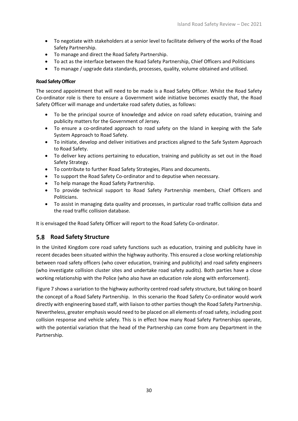- To negotiate with stakeholders at a senior level to facilitate delivery of the works of the Road Safety Partnership.
- To manage and direct the Road Safety Partnership.
- To act as the interface between the Road Safety Partnership, Chief Officers and Politicians
- To manage / upgrade data standards, processes, quality, volume obtained and utilised.

#### **Road Safety Officer**

The second appointment that will need to be made is a Road Safety Officer. Whilst the Road Safety Co-ordinator role is there to ensure a Government wide initiative becomes exactly that, the Road Safety Officer will manage and undertake road safety duties, as follows:

- To be the principal source of knowledge and advice on road safety education, training and publicity matters for the Government of Jersey.
- To ensure a co-ordinated approach to road safety on the Island in keeping with the Safe System Approach to Road Safety.
- To initiate, develop and deliver initiatives and practices aligned to the Safe System Approach to Road Safety.
- To deliver key actions pertaining to education, training and publicity as set out in the Road Safety Strategy.
- To contribute to further Road Safety Strategies, Plans and documents.
- To support the Road Safety Co-ordinator and to deputise when necessary.
- To help manage the Road Safety Partnership.
- To provide technical support to Road Safety Partnership members, Chief Officers and Politicians.
- To assist in managing data quality and processes, in particular road traffic collision data and the road traffic collision database.

It is envisaged the Road Safety Officer will report to the Road Safety Co-ordinator.

#### <span id="page-31-0"></span>**Road Safety Structure**

In the United Kingdom core road safety functions such as education, training and publicity have in recent decades been situated within the highway authority. This ensured a close working relationship between road safety officers (who cover education, training and publicity) and road safety engineers (who investigate collision cluster sites and undertake road safety audits). Both parties have a close working relationship with the Police (who also have an education role along with enforcement).

Figure 7 shows a variation to the highway authority centred road safety structure, but taking on board the concept of a Road Safety Partnership. In this scenario the Road Safety Co-ordinator would work directly with engineering based staff, with liaison to other parties though the Road Safety Partnership. Nevertheless, greater emphasis would need to be placed on all elements of road safety, including post collision response and vehicle safety. This is in effect how many Road Safety Partnerships operate, with the potential variation that the head of the Partnership can come from any Department in the Partnership.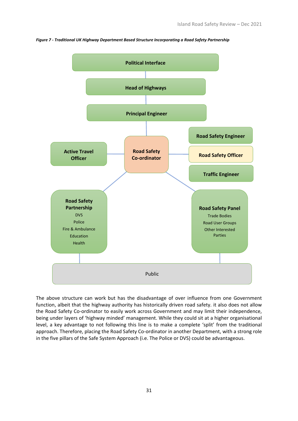

*Figure 7 - Traditional UK Highway Department Based Structure Incorporating a Road Safety Partnership*

The above structure can work but has the disadvantage of over influence from one Government function, albeit that the highway authority has historically driven road safety. it also does not allow the Road Safety Co-ordinator to easily work across Government and may limit their independence, being under layers of 'highway minded' management. While they could sit at a higher organisational level, a key advantage to not following this line is to make a complete 'split' from the traditional approach. Therefore, placing the Road Safety Co-ordinator in another Department, with a strong role in the five pillars of the Safe System Approach (i.e. The Police or DVS) could be advantageous.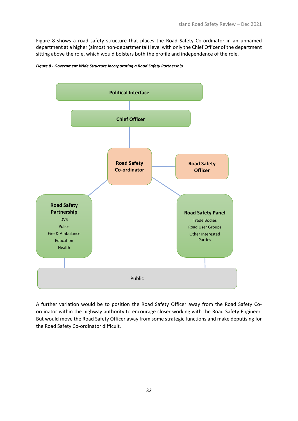[Figure 8](#page-33-0) shows a road safety structure that places the Road Safety Co-ordinator in an unnamed department at a higher (almost non-departmental) level with only the Chief Officer of the department sitting above the role, which would bolsters both the profile and independence of the role.



<span id="page-33-0"></span>*Figure 8 - Government Wide Structure Incorporating a Road Safety Partnership*

A further variation would be to position the Road Safety Officer away from the Road Safety Coordinator within the highway authority to encourage closer working with the Road Safety Engineer. But would move the Road Safety Officer away from some strategic functions and make deputising for the Road Safety Co-ordinator difficult.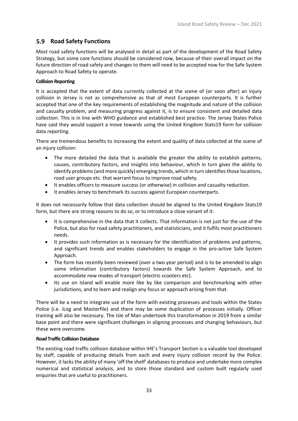#### <span id="page-34-0"></span>**Road Safety Functions**

Most road safety functions will be analysed in detail as part of the development of the Road Safety Strategy, but some core functions should be considered now, because of their overall impact on the future direction of road safety and changes to them will need to be accepted now for the Safe System Approach to Road Safety to operate.

#### **Collision Reporting**

It is accepted that the extent of data currently collected at the scene of (or soon after) an injury collision in Jersey is not as comprehensive as that of most European counterparts. It is further accepted that one of the key requirements of establishing the magnitude and nature of the collision and casualty problem, and measuring progress against it, is to ensure consistent and detailed data collection. This is in line with WHO guidance and established best practice. The Jersey States Police have said they would support a move towards using the United Kingdom Stats19 form for collision data reporting.

There are tremendous benefits to increasing the extent and quality of data collected at the scene of an injury collision:

- The more detailed the data that is available the greater the ability to establish patterns, causes, contributory factors, and insights into behaviour, which in turn gives the ability to identify problems (and more quickly) emerging trends, which in turn identifies those locations, road user groups etc. that warrant focus to improve road safety.
- It enables officers to measure success (or otherwise) in collision and casualty reduction.
- It enables Jersey to benchmark its success against European counterparts.

It does not necessarily follow that data collection should be aligned to the United Kingdom Stats19 form, but there are strong reasons to do so, or to introduce a close variant of it:

- It is comprehensive in the data that it collects. That information is not just for the use of the Police, but also for road safety practitioners, and statisticians, and it fulfils most practitioners needs.
- It provides such information as is necessary for the identification of problems and patterns, and significant trends and enables stakeholders to engage in the pro-active Safe System Approach.
- The form has recently been reviewed (over a two year period) and is to be amended to align some information (contributory factors) towards the Safe System Approach, and to accommodate new modes of transport (electric scooters etc).
- Its use on Island will enable more like by like comparison and benchmarking with other jurisdictions, and to learn and realign any focus or approach arising from that.

There will be a need to integrate use of the form with existing processes and tools within the States Police (i.e. iLog and Masterfile) and there may be some duplication of processes initially. Officer training will also be necessary. The Isle of Man undertook this transformation in 2019 from a similar base point and there were significant challenges in aligning processes and changing behaviours, but these were overcome.

#### **Road Traffic Collision Database**

The existing road traffic collision database within IHE's Transport Section is a valuable tool developed by staff, capable of producing details from each and every injury collision record by the Police. However, it lacks the ability of many 'off the shelf' databases to produce and undertake more complex numerical and statistical analysis, and to store those standard and custom built regularly used enquiries that are useful to practitioners.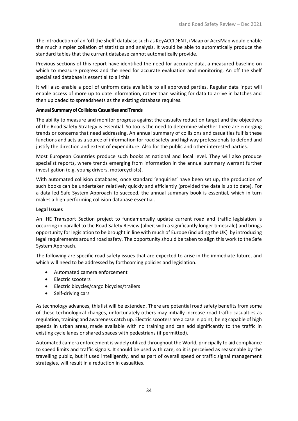The introduction of an 'off the shelf' database such as KeyACCIDENT, iMaap or AccsMap would enable the much simpler collation of statistics and analysis. It would be able to automatically produce the standard tables that the current database cannot automatically provide.

Previous sections of this report have identified the need for accurate data, a measured baseline on which to measure progress and the need for accurate evaluation and monitoring. An off the shelf specialised database is essential to all this.

It will also enable a pool of uniform data available to all approved parties. Regular data input will enable access of more up to date information, rather than waiting for data to arrive in batches and then uploaded to spreadsheets as the existing database requires.

#### **Annual Summary of Collisions Casualties and Trends**

The ability to measure and monitor progress against the casualty reduction target and the objectives of the Road Safety Strategy is essential. So too is the need to determine whether there are emerging trends or concerns that need addressing. An annual summary of collisions and casualties fulfils these functions and acts as a source of information for road safety and highway professionals to defend and justify the direction and extent of expenditure. Also for the public and other interested parties.

Most European Countries produce such books at national and local level. They will also produce specialist reports, where trends emerging from information in the annual summary warrant further investigation (e.g. young drivers, motorcyclists).

With automated collision databases, once standard 'enquiries' have been set up, the production of such books can be undertaken relatively quickly and efficiently (provided the data is up to date). For a data led Safe System Approach to succeed, the annual summary book is essential, which in turn makes a high performing collision database essential.

#### **Legal Issues**

An IHE Transport Section project to fundamentally update current road and traffic legislation is occurring in parallel to the Road Safety Review (albeit with a significantly longer timescale) and brings opportunity for legislation to be brought in line with much of Europe (including the UK) by introducing legal requirements around road safety. The opportunity should be taken to align this work to the Safe System Approach.

The following are specific road safety issues that are expected to arise in the immediate future, and which will need to be addressed by forthcoming policies and legislation.

- Automated camera enforcement
- Electric scooters
- Electric bicycles/cargo bicycles/trailers
- Self-driving cars

As technology advances, this list will be extended. There are potential road safety benefits from some of these technological changes, unfortunately others may initially increase road traffic casualties as regulation, training and awareness catch up. Electric scooters are a case in point, being capable of high speeds in urban areas, made available with no training and can add significantly to the traffic in existing cycle lanes or shared spaces with pedestrians (if permitted).

Automated camera enforcement is widely utilized throughout the World, principally to aid compliance to speed limits and traffic signals. It should be used with care, so it is perceived as reasonable by the travelling public, but if used intelligently, and as part of overall speed or traffic signal management strategies, will result in a reduction in casualties.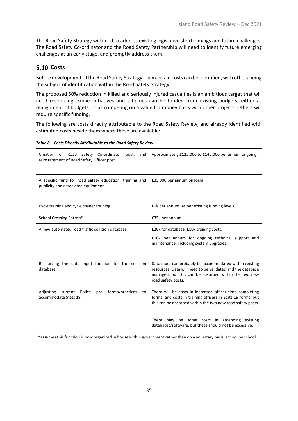The Road Safety Strategy will need to address existing legislative shortcomings and future challenges. The Road Safety Co-ordinator and the Road Safety Partnership will need to identify future emerging challenges at an early stage, and promptly address them.

### <span id="page-36-0"></span>**5.10 Costs**

Before development of the Road Safety Strategy, only certain costs can be identified, with others being the subject of identification within the Road Safety Strategy.

The proposed 50% reduction in killed and seriously injured casualties is an ambitious target that will need resourcing. Some initiatives and schemes can be funded from existing budgets, either as realignment of budgets, or as competing on a value for money basis with other projects. Others will require specific funding.

The following are costs directly attributable to the Road Safety Review, and already identified with estimated costs beside them where these are available:

|  | Table 8 – Costs Directly Attributable to the Road Safety Review. |  |
|--|------------------------------------------------------------------|--|
|  |                                                                  |  |

| Creation of Road Safety Co-ordinator<br>post,<br>and<br>reinstatement of Road Safety Officer post. | Approximately £125,000 to £140,000 per annum ongoing.                                                                                                                                               |  |  |
|----------------------------------------------------------------------------------------------------|-----------------------------------------------------------------------------------------------------------------------------------------------------------------------------------------------------|--|--|
| A specific fund for road safety education, training and<br>publicity and associated equipment      | £35,000 per annum ongoing.                                                                                                                                                                          |  |  |
| Cycle training and cycle trainer training                                                          | £9k per annum (as per existing funding levels)                                                                                                                                                      |  |  |
| School Crossing Patrols*                                                                           | £35k per annum                                                                                                                                                                                      |  |  |
| A new automated road traffic collision database                                                    | £20k for database, £10k training costs.<br>£10k per annum for ongoing technical support and<br>maintenance, including system upgrades.                                                              |  |  |
| Resourcing the data input function for the collision<br>database                                   | Data input can probably be accommodated within existing<br>resources. Data will need to be validated and the database<br>managed, but this can be absorbed within the two new<br>road safety posts. |  |  |
| Adjusting current Police<br>forma/practices<br>pro<br>to<br>accommodate Stats 19.                  | There will be costs in increased officer time completing<br>forms, and costs in training officers in Stats 19 forms, but<br>this can be absorbed within the two new road safety posts.              |  |  |
|                                                                                                    | There may be some costs in amending existing<br>databases/software, but these should not be excessive.                                                                                              |  |  |

\*assumes this function is now organized in house within government rather than on a voluntary basis, school by school.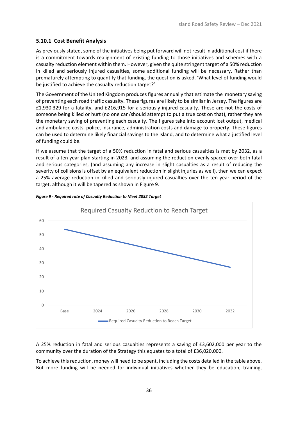#### <span id="page-37-0"></span>**5.10.1 Cost Benefit Analysis**

As previously stated, some of the initiatives being put forward will not result in additional cost if there is a commitment towards realignment of existing funding to those initiatives and schemes with a casualty reduction element within them. However, given the quite stringent target of a 50% reduction in killed and seriously injured casualties, some additional funding will be necessary. Rather than prematurely attempting to quantify that funding, the question is asked, 'What level of funding would be justified to achieve the casualty reduction target?'

The Government of the United Kingdom produces figures annually that estimate the monetary saving of preventing each road traffic casualty. These figures are likely to be similar in Jersey. The figures are £1,930,329 for a fatality, and £216,915 for a seriously injured casualty. These are not the costs of someone being killed or hurt (no one can/should attempt to put a true cost on that), rather they are the monetary saving of preventing each casualty. The figures take into account lost output, medical and ambulance costs, police, insurance, administration costs and damage to property. These figures can be used to determine likely financial savings to the Island, and to determine what a justified level of funding could be.

If we assume that the target of a 50% reduction in fatal and serious casualties is met by 2032, as a result of a ten year plan starting in 2023, and assuming the reduction evenly spaced over both fatal and serious categories, (and assuming any increase in slight casualties as a result of reducing the severity of collisions is offset by an equivalent reduction in slight injuries as well), then we can expect a 25% average reduction in killed and seriously injured casualties over the ten year period of the target, although it will be tapered as shown i[n Figure 9.](#page-37-1)



<span id="page-37-1"></span>

A 25% reduction in fatal and serious casualties represents a saving of £3,602,000 per year to the community over the duration of the Strategy this equates to a total of £36,020,000.

To achieve this reduction, money will need to be spent, including the costs detailed in the table above. But more funding will be needed for individual initiatives whether they be education, training,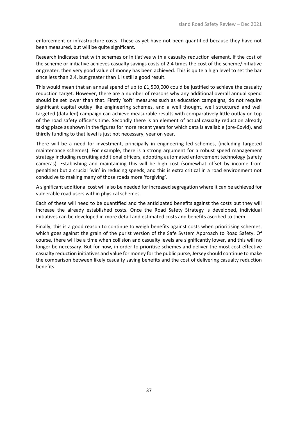enforcement or infrastructure costs. These as yet have not been quantified because they have not been measured, but will be quite significant.

Research indicates that with schemes or initiatives with a casualty reduction element, if the cost of the scheme or initiative achieves casualty savings costs of 2.4 times the cost of the scheme/initiative or greater, then very good value of money has been achieved. This is quite a high level to set the bar since less than 2.4, but greater than 1 is still a good result.

This would mean that an annual spend of up to £1,500,000 could be justified to achieve the casualty reduction target. However, there are a number of reasons why any additional overall annual spend should be set lower than that. Firstly 'soft' measures such as education campaigns, do not require significant capital outlay like engineering schemes, and a well thought, well structured and well targeted (data led) campaign can achieve measurable results with comparatively little outlay on top of the road safety officer's time. Secondly there is an element of actual casualty reduction already taking place as shown in the figures for more recent years for which data is available (pre-Covid), and thirdly funding to that level is just not necessary, year on year.

There will be a need for investment, principally in engineering led schemes, (including targeted maintenance schemes). For example, there is a strong argument for a robust speed management strategy including recruiting additional officers, adopting automated enforcement technology (safety cameras). Establishing and maintaining this will be high cost (somewhat offset by income from penalties) but a crucial 'win' in reducing speeds, and this is extra critical in a road environment not conducive to making many of those roads more 'forgiving'.

A significant additional cost will also be needed for increased segregation where it can be achieved for vulnerable road users within physical schemes.

Each of these will need to be quantified and the anticipated benefits against the costs but they will increase the already established costs. Once the Road Safety Strategy is developed, individual initiatives can be developed in more detail and estimated costs and benefits ascribed to them

Finally, this is a good reason to continue to weigh benefits against costs when prioritising schemes, which goes against the grain of the purist version of the Safe System Approach to Road Safety. Of course, there will be a time when collision and casualty levels are significantly lower, and this will no longer be necessary. But for now, in order to prioritise schemes and deliver the most cost-effective casualty reduction initiatives and value for money for the public purse, Jersey should continue to make the comparison between likely casualty saving benefits and the cost of delivering casualty reduction benefits.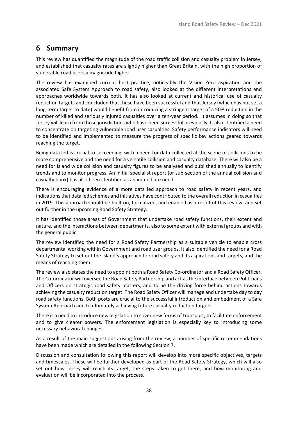### <span id="page-39-0"></span>**6 Summary**

This review has quantified the magnitude of the road traffic collision and casualty problem in Jersey, and established that casualty rates are slightly higher than Great Britain, with the high proportion of vulnerable road users a magnitude higher.

The review has examined current best practice, noticeably the Vision Zero aspiration and the associated Safe System Approach to road safety, also looked at the different interpretations and approaches worldwide towards both. It has also looked at current and historical use of casualty reduction targets and concluded that these have been successful and that Jersey (which has not set a long-term target to date) would benefit from introducing a stringent target of a 50% reduction in the number of killed and seriously injured casualties over a ten-year period. It assumes in doing so that Jersey will learn from those jurisdictions who have been successful previously. It also identified a need to concentrate on targeting vulnerable road user casualties. Safety performance indicators will need to be identified and implemented to measure the progress of specific key actions geared towards reaching the target.

Being data led is crucial to succeeding, with a need for data collected at the scene of collisions to be more comprehensive and the need for a versatile collision and casualty database. There will also be a need for Island wide collision and casualty figures to be analysed and published annually to identify trends and to monitor progress. An initial specialist report (or sub-section of the annual collision and casualty book) has also been identified as an immediate need.

There is encouraging evidence of a more data led approach to road safety in recent years, and indications that data led schemes and initiatives have contributed to the overall reduction in casualties in 2019. This approach should be built on, formalized, and enabled as a result of this review, and set out further in the upcoming Road Safety Strategy.

It has identified those areas of Government that undertake road safety functions, their extent and nature, and the interactions between departments, also to some extent with external groups and with the general public.

The review identified the need for a Road Safety Partnership as a suitable vehicle to enable cross departmental working within Government and road user groups. It also identified the need for a Road Safety Strategy to set out the Island's approach to road safety and its aspirations and targets, and the means of reaching them.

The review also states the need to appoint both a Road Safety Co-ordinator and a Road Safety Officer. The Co-ordinator will oversee the Road Safety Partnership and act as the interface between Politicians and Officers on strategic road safety matters, and to be the driving force behind actions towards achieving the casualty reduction target. The Road Safety Officer will manage and undertake day to day road safety functions. Both posts are crucial to the successful introduction and embedment of a Safe System Approach and to ultimately achieving future casualty reduction targets.

There is a need to introduce new legislation to cover new forms of transport, to facilitate enforcement and to give clearer powers. The enforcement legislation is especially key to introducing some necessary behavioral changes.

As a result of the main suggestions arising from the review, a number of specific recommendations have been made which are detailed in the following Section 7.

Discussion and consultation following this report will develop into more specific objectives, targets and timescales. These will be further developed as part of the Road Safety Strategy, which will also set out how Jersey will reach its target, the steps taken to get there, and how monitoring and evaluation will be incorporated into the process.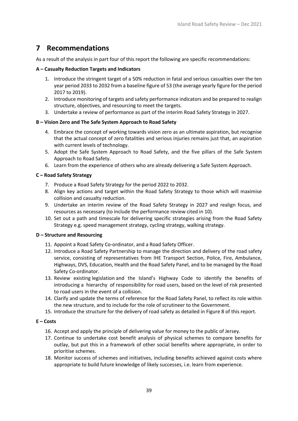## <span id="page-40-0"></span>**7 Recommendations**

As a result of the analysis in part four of this report the following are specific recommendations:

#### **A – Casualty Reduction Targets and Indicators**

- 1. Introduce the stringent target of a 50% reduction in fatal and serious casualties over the ten year period 2033 to 2032 from a baseline figure of 53 (the average yearly figure for the period 2017 to 2019).
- 2. Introduce monitoring of targets and safety performance indicators and be prepared to realign structure, objectives, and resourcing to meet the targets.
- 3. Undertake a review of performance as part of the interim Road Safety Strategy in 2027.

#### **B – Vision Zero and The Safe System Approach to Road Safety**

- 4. Embrace the concept of working towards vision zero as an ultimate aspiration, but recognise that the actual concept of zero fatalities and serious injuries remains just that, an aspiration with current levels of technology.
- 5. Adopt the Safe System Approach to Road Safety, and the five pillars of the Safe System Approach to Road Safety.
- 6. Learn from the experience of others who are already delivering a Safe System Approach.

#### **C – Road Safety Strategy**

- 7. Produce a Road Safety Strategy for the period 2022 to 2032.
- 8. Align key actions and target within the Road Safety Strategy to those which will maximise collision and casualty reduction.
- 9. Undertake an interim review of the Road Safety Strategy in 2027 and realign focus, and resources as necessary (to include the performance review cited in 10).
- 10. Set out a path and timescale for delivering specific strategies arising from the Road Safety Strategy e.g. speed management strategy, cycling strategy, walking strategy.

#### **D – Structure and Resourcing**

- 11. Appoint a Road Safety Co-ordinator, and a Road Safety Officer.
- 12. Introduce a Road Safety Partnership to manage the direction and delivery of the road safety service, consisting of representatives from IHE Transport Section, Police, Fire, Ambulance, Highways, DVS, Education, Health and the Road Safety Panel, and to be managed by the Road Safety Co-ordinator.
- 13. Review existing legislation and the Island's Highway Code to identify the benefits of introducing a hierarchy of responsibility for road users, based on the level of risk presented to road users in the event of a collision.
- 14. Clarify and update the terms of reference for the Road Safety Panel, to reflect its role within the new structure, and to include for the role of scrutineer to the Government.
- 15. Introduce the structure for the delivery of road safety as detailed in [Figure 8](#page-33-0) of this report.

#### **E – Costs**

- 16. Accept and apply the principle of delivering value for money to the public of Jersey.
- 17. Continue to undertake cost benefit analysis of physical schemes to compare benefits for outlay, but put this in a framework of other social benefits where appropriate, in order to prioritise schemes.
- 18. Monitor success of schemes and initiatives, including benefits achieved against costs where appropriate to build future knowledge of likely successes, i.e. learn from experience.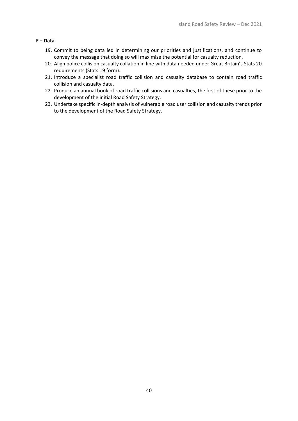#### **F – Data**

- 19. Commit to being data led in determining our priorities and justifications, and continue to convey the message that doing so will maximise the potential for casualty reduction.
- 20. Align police collision casualty collation in line with data needed under Great Britain's Stats 20 requirements (Stats 19 form).
- 21. Introduce a specialist road traffic collision and casualty database to contain road traffic collision and casualty data.
- 22. Produce an annual book of road traffic collisions and casualties, the first of these prior to the development of the initial Road Safety Strategy.
- 23. Undertake specific in-depth analysis of vulnerable road user collision and casualty trends prior to the development of the Road Safety Strategy.